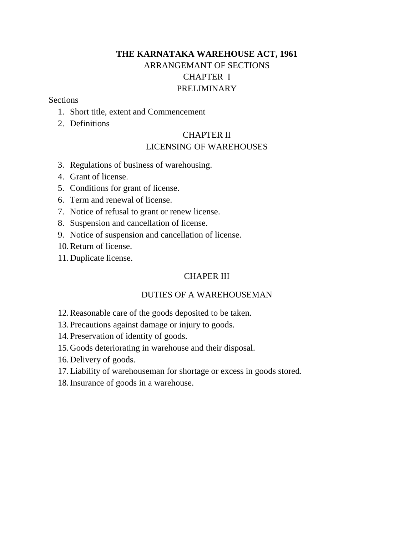# **THE KARNATAKA WAREHOUSE ACT, 1961** ARRANGEMANT OF SECTIONS CHAPTER I PRELIMINARY

#### **Sections**

- 1. Short title, extent and Commencement
- 2. Definitions

## CHAPTER II LICENSING OF WAREHOUSES

- 3. Regulations of business of warehousing.
- 4. Grant of license.
- 5. Conditions for grant of license.
- 6. Term and renewal of license.
- 7. Notice of refusal to grant or renew license.
- 8. Suspension and cancellation of license.
- 9. Notice of suspension and cancellation of license.
- 10.Return of license.
- 11.Duplicate license.

## CHAPER III

## DUTIES OF A WAREHOUSEMAN

- 12.Reasonable care of the goods deposited to be taken.
- 13.Precautions against damage or injury to goods.
- 14.Preservation of identity of goods.
- 15.Goods deteriorating in warehouse and their disposal.
- 16.Delivery of goods.
- 17.Liability of warehouseman for shortage or excess in goods stored.
- 18.Insurance of goods in a warehouse.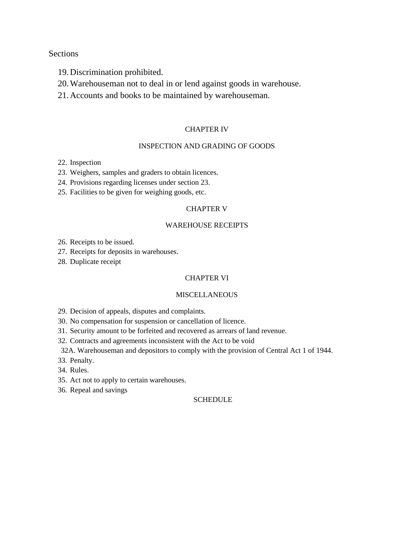#### Sections

- 19.Discrimination prohibited.
- 20.Warehouseman not to deal in or lend against goods in warehouse.
- 21.Accounts and books to be maintained by warehouseman.

#### CHAPTER IV

#### INSPECTION AND GRADING OF GOODS

- 22. Inspection
- 23. Weighers, samples and graders to obtain licences.
- 24. Provisions regarding licenses under section 23.
- 25. Facilities to be given for weighing goods, etc.

#### CHAPTER V

#### WAREHOUSE RECEIPTS

26. Receipts to be issued.

- 27. Receipts for deposits in warehouses.
- 28. Duplicate receipt

#### CHAPTER VI

#### **MISCELLANEOUS**

29. Decision of appeals, disputes and complaints.

- 30. No compensation for suspension or cancellation of licence.
- 31. Security amount to be forfeited and recovered as arrears of land revenue.
- 32. Contracts and agreements inconsistent with the Act to be void

32A. Warehouseman and depositors to comply with the provision of Central Act 1 of 1944.

- 33. Penalty.
- 34. Rules.
- 35. Act not to apply to certain warehouses.
- 36. Repeal and savings

#### **SCHEDULE**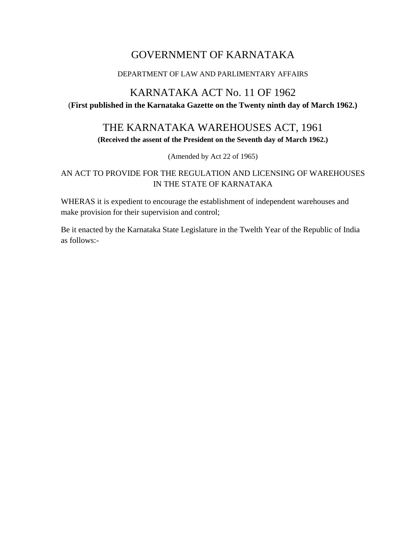# GOVERNMENT OF KARNATAKA

#### DEPARTMENT OF LAW AND PARLIMENTARY AFFAIRS

# KARNATAKA ACT No. 11 OF 1962

(**First published in the Karnataka Gazette on the Twenty ninth day of March 1962.)**

# THE KARNATAKA WAREHOUSES ACT, 1961

**(Received the assent of the President on the Seventh day of March 1962.)**

(Amended by Act 22 of 1965)

## AN ACT TO PROVIDE FOR THE REGULATION AND LICENSING OF WAREHOUSES IN THE STATE OF KARNATAKA

WHERAS it is expedient to encourage the establishment of independent warehouses and make provision for their supervision and control;

Be it enacted by the Karnataka State Legislature in the Twelth Year of the Republic of India as follows:-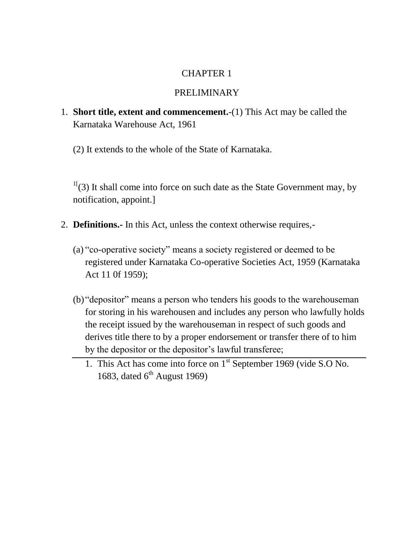# CHAPTER 1

## PRELIMINARY

- 1. **Short title, extent and commencement.**-(1) This Act may be called the Karnataka Warehouse Act, 1961
	- (2) It extends to the whole of the State of Karnataka.

 $1\frac{1}{3}$  It shall come into force on such date as the State Government may, by notification, appoint.]

- 2. **Definitions.-** In this Act, unless the context otherwise requires,-
	- (a) "co-operative society" means a society registered or deemed to be registered under Karnataka Co-operative Societies Act, 1959 (Karnataka Act 11 0f 1959);
	- (b) "depositor" means a person who tenders his goods to the warehouseman for storing in his warehousen and includes any person who lawfully holds the receipt issued by the warehouseman in respect of such goods and derives title there to by a proper endorsement or transfer there of to him by the depositor or the depositor's lawful transferee;
		- 1. This Act has come into force on 1<sup>st</sup> September 1969 (vide S.O No. 1683, dated  $6<sup>th</sup>$  August 1969)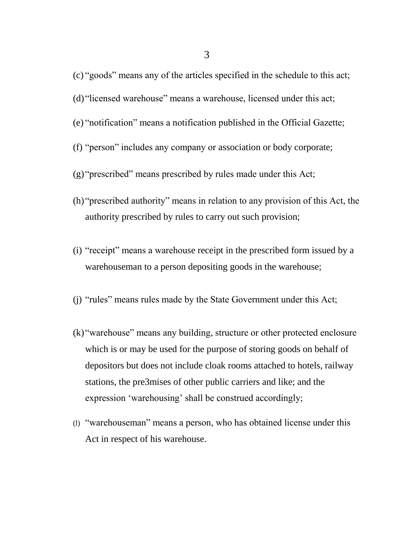- (c) "goods" means any of the articles specified in the schedule to this act;
- (d) "licensed warehouse" means a warehouse, licensed under this act;
- (e) "notification" means a notification published in the Official Gazette;
- (f) "person" includes any company or association or body corporate;
- (g) "prescribed" means prescribed by rules made under this Act;
- (h) "prescribed authority" means in relation to any provision of this Act, the authority prescribed by rules to carry out such provision;
- (i) "receipt" means a warehouse receipt in the prescribed form issued by a warehouseman to a person depositing goods in the warehouse;
- (j) "rules" means rules made by the State Government under this Act;
- (k) "warehouse" means any building, structure or other protected enclosure which is or may be used for the purpose of storing goods on behalf of depositors but does not include cloak rooms attached to hotels, railway stations, the pre3mises of other public carriers and like; and the expression 'warehousing' shall be construed accordingly;
- (l) "warehouseman" means a person, who has obtained license under this Act in respect of his warehouse.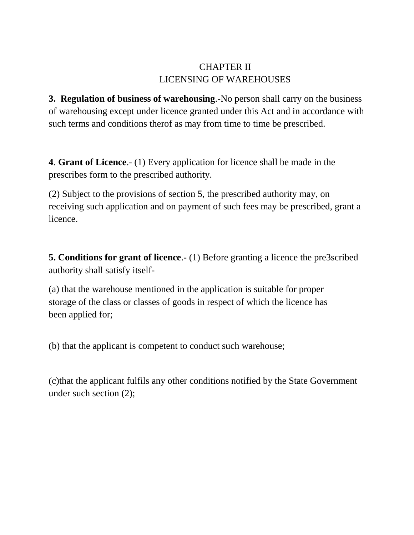# CHAPTER II LICENSING OF WAREHOUSES

**3. Regulation of business of warehousing**.-No person shall carry on the business of warehousing except under licence granted under this Act and in accordance with such terms and conditions therof as may from time to time be prescribed.

**4**. **Grant of Licence**.- (1) Every application for licence shall be made in the prescribes form to the prescribed authority.

(2) Subject to the provisions of section 5, the prescribed authority may, on receiving such application and on payment of such fees may be prescribed, grant a licence.

**5. Conditions for grant of licence**.- (1) Before granting a licence the pre3scribed authority shall satisfy itself-

(a) that the warehouse mentioned in the application is suitable for proper storage of the class or classes of goods in respect of which the licence has been applied for;

(b) that the applicant is competent to conduct such warehouse;

(c)that the applicant fulfils any other conditions notified by the State Government under such section (2);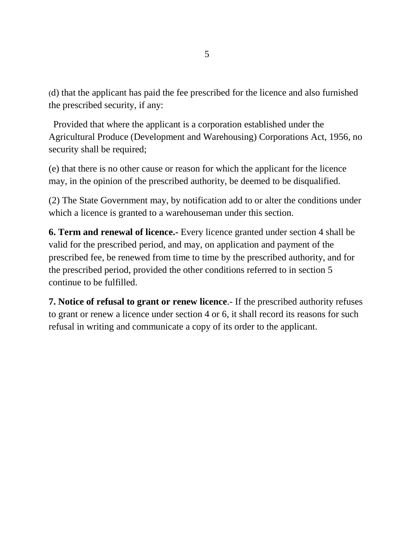(d) that the applicant has paid the fee prescribed for the licence and also furnished the prescribed security, if any:

 Provided that where the applicant is a corporation established under the Agricultural Produce (Development and Warehousing) Corporations Act, 1956, no security shall be required;

(e) that there is no other cause or reason for which the applicant for the licence may, in the opinion of the prescribed authority, be deemed to be disqualified.

(2) The State Government may, by notification add to or alter the conditions under which a licence is granted to a warehouseman under this section.

**6. Term and renewal of licence.-** Every licence granted under section 4 shall be valid for the prescribed period, and may, on application and payment of the prescribed fee, be renewed from time to time by the prescribed authority, and for the prescribed period, provided the other conditions referred to in section 5 continue to be fulfilled.

**7. Notice of refusal to grant or renew licence.** If the prescribed authority refuses to grant or renew a licence under section 4 or 6, it shall record its reasons for such refusal in writing and communicate a copy of its order to the applicant.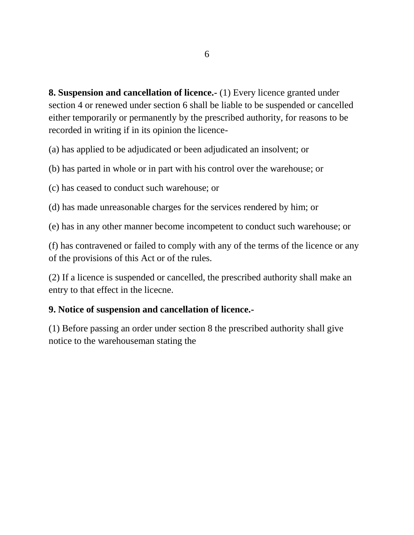**8. Suspension and cancellation of licence.-** (1) Every licence granted under section 4 or renewed under section 6 shall be liable to be suspended or cancelled either temporarily or permanently by the prescribed authority, for reasons to be recorded in writing if in its opinion the licence-

(a) has applied to be adjudicated or been adjudicated an insolvent; or

(b) has parted in whole or in part with his control over the warehouse; or

(c) has ceased to conduct such warehouse; or

(d) has made unreasonable charges for the services rendered by him; or

(e) has in any other manner become incompetent to conduct such warehouse; or

(f) has contravened or failed to comply with any of the terms of the licence or any of the provisions of this Act or of the rules.

(2) If a licence is suspended or cancelled, the prescribed authority shall make an entry to that effect in the licecne.

## **9. Notice of suspension and cancellation of licence.-**

(1) Before passing an order under section 8 the prescribed authority shall give notice to the warehouseman stating the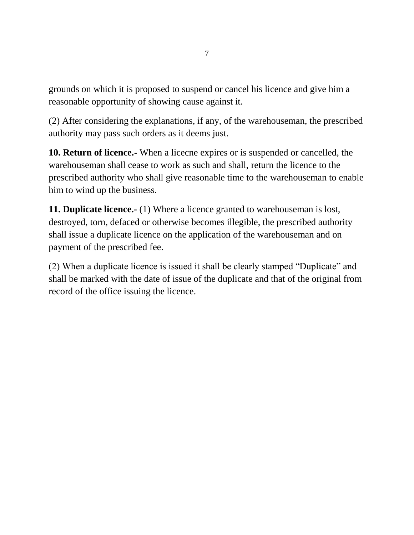grounds on which it is proposed to suspend or cancel his licence and give him a reasonable opportunity of showing cause against it.

(2) After considering the explanations, if any, of the warehouseman, the prescribed authority may pass such orders as it deems just.

**10. Return of licence.-** When a licecne expires or is suspended or cancelled, the warehouseman shall cease to work as such and shall, return the licence to the prescribed authority who shall give reasonable time to the warehouseman to enable him to wind up the business.

**11. Duplicate licence.-** (1) Where a licence granted to warehouseman is lost, destroyed, torn, defaced or otherwise becomes illegible, the prescribed authority shall issue a duplicate licence on the application of the warehouseman and on payment of the prescribed fee.

(2) When a duplicate licence is issued it shall be clearly stamped "Duplicate" and shall be marked with the date of issue of the duplicate and that of the original from record of the office issuing the licence.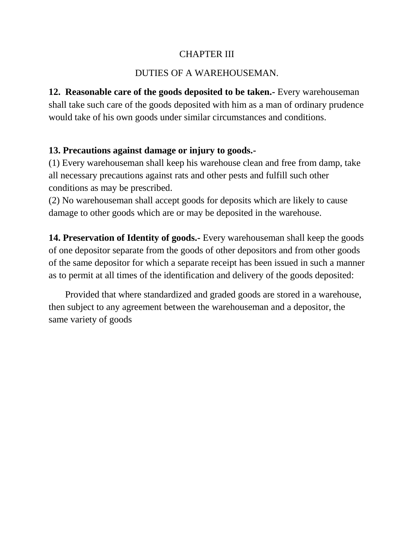## CHAPTER III

# DUTIES OF A WAREHOUSEMAN.

**12. Reasonable care of the goods deposited to be taken.-** Every warehouseman shall take such care of the goods deposited with him as a man of ordinary prudence would take of his own goods under similar circumstances and conditions.

## **13. Precautions against damage or injury to goods.-**

(1) Every warehouseman shall keep his warehouse clean and free from damp, take all necessary precautions against rats and other pests and fulfill such other conditions as may be prescribed.

(2) No warehouseman shall accept goods for deposits which are likely to cause damage to other goods which are or may be deposited in the warehouse.

**14. Preservation of Identity of goods.-** Every warehouseman shall keep the goods of one depositor separate from the goods of other depositors and from other goods of the same depositor for which a separate receipt has been issued in such a manner as to permit at all times of the identification and delivery of the goods deposited:

 Provided that where standardized and graded goods are stored in a warehouse, then subject to any agreement between the warehouseman and a depositor, the same variety of goods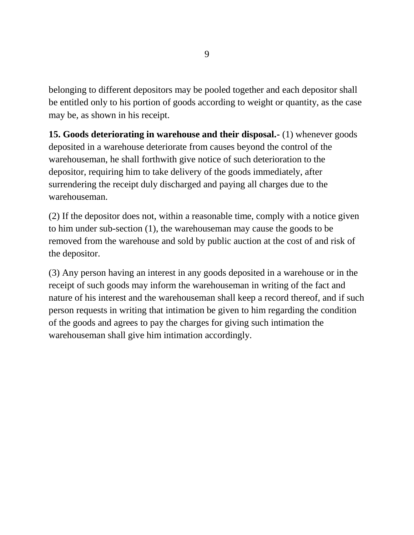belonging to different depositors may be pooled together and each depositor shall be entitled only to his portion of goods according to weight or quantity, as the case may be, as shown in his receipt.

**15. Goods deteriorating in warehouse and their disposal.-** (1) whenever goods deposited in a warehouse deteriorate from causes beyond the control of the warehouseman, he shall forthwith give notice of such deterioration to the depositor, requiring him to take delivery of the goods immediately, after surrendering the receipt duly discharged and paying all charges due to the warehouseman.

(2) If the depositor does not, within a reasonable time, comply with a notice given to him under sub-section (1), the warehouseman may cause the goods to be removed from the warehouse and sold by public auction at the cost of and risk of the depositor.

(3) Any person having an interest in any goods deposited in a warehouse or in the receipt of such goods may inform the warehouseman in writing of the fact and nature of his interest and the warehouseman shall keep a record thereof, and if such person requests in writing that intimation be given to him regarding the condition of the goods and agrees to pay the charges for giving such intimation the warehouseman shall give him intimation accordingly.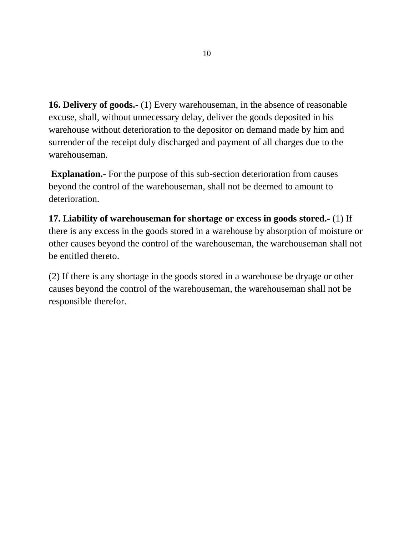**16. Delivery of goods.-** (1) Every warehouseman, in the absence of reasonable excuse, shall, without unnecessary delay, deliver the goods deposited in his warehouse without deterioration to the depositor on demand made by him and surrender of the receipt duly discharged and payment of all charges due to the warehouseman.

**Explanation.**- For the purpose of this sub-section deterioration from causes beyond the control of the warehouseman, shall not be deemed to amount to deterioration.

**17. Liability of warehouseman for shortage or excess in goods stored.-** (1) If there is any excess in the goods stored in a warehouse by absorption of moisture or other causes beyond the control of the warehouseman, the warehouseman shall not be entitled thereto.

(2) If there is any shortage in the goods stored in a warehouse be dryage or other causes beyond the control of the warehouseman, the warehouseman shall not be responsible therefor.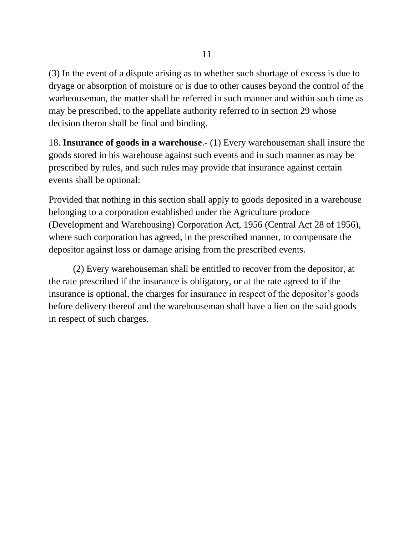(3) In the event of a dispute arising as to whether such shortage of excess is due to dryage or absorption of moisture or is due to other causes beyond the control of the warheouseman, the matter shall be referred in such manner and within such time as may be prescribed, to the appellate authority referred to in section 29 whose decision theron shall be final and binding.

18. **Insurance of goods in a warehouse**.- (1) Every warehouseman shall insure the goods stored in his warehouse against such events and in such manner as may be prescribed by rules, and such rules may provide that insurance against certain events shall be optional:

Provided that nothing in this section shall apply to goods deposited in a warehouse belonging to a corporation established under the Agriculture produce (Development and Warehousing) Corporation Act, 1956 (Central Act 28 of 1956), where such corporation has agreed, in the prescribed manner, to compensate the depositor against loss or damage arising from the prescribed events.

(2) Every warehouseman shall be entitled to recover from the depositor, at the rate prescribed if the insurance is obligatory, or at the rate agreed to if the insurance is optional, the charges for insurance in respect of the depositor's goods before delivery thereof and the warehouseman shall have a lien on the said goods in respect of such charges.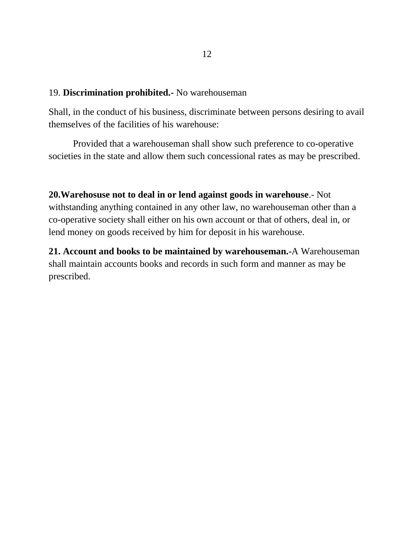#### 19. **Discrimination prohibited.-** No warehouseman

Shall, in the conduct of his business, discriminate between persons desiring to avail themselves of the facilities of his warehouse:

Provided that a warehouseman shall show such preference to co-operative societies in the state and allow them such concessional rates as may be prescribed.

**20.Warehosuse not to deal in or lend against goods in warehouse**.- Not withstanding anything contained in any other law, no warehouseman other than a co-operative society shall either on his own account or that of others, deal in, or lend money on goods received by him for deposit in his warehouse.

**21. Account and books to be maintained by warehouseman.-**A Warehouseman shall maintain accounts books and records in such form and manner as may be prescribed.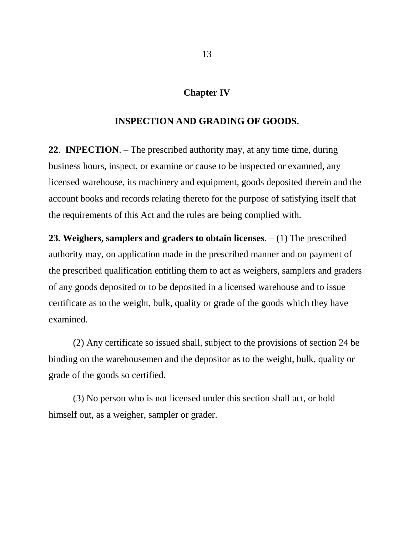#### **Chapter IV**

#### **INSPECTION AND GRADING OF GOODS.**

**22**. **INPECTION**. – The prescribed authority may, at any time time, during business hours, inspect, or examine or cause to be inspected or examned, any licensed warehouse, its machinery and equipment, goods deposited therein and the account books and records relating thereto for the purpose of satisfying itself that the requirements of this Act and the rules are being complied with.

**23. Weighers, samplers and graders to obtain licenses**. – (1) The prescribed authority may, on application made in the prescribed manner and on payment of the prescribed qualification entitling them to act as weighers, samplers and graders of any goods deposited or to be deposited in a licensed warehouse and to issue certificate as to the weight, bulk, quality or grade of the goods which they have examined.

(2) Any certificate so issued shall, subject to the provisions of section 24 be binding on the warehousemen and the depositor as to the weight, bulk, quality or grade of the goods so certified.

(3) No person who is not licensed under this section shall act, or hold himself out, as a weigher, sampler or grader.

13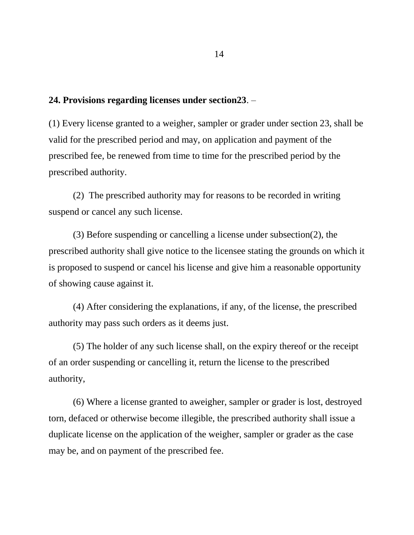#### **24. Provisions regarding licenses under section23**. –

(1) Every license granted to a weigher, sampler or grader under section 23, shall be valid for the prescribed period and may, on application and payment of the prescribed fee, be renewed from time to time for the prescribed period by the prescribed authority.

(2) The prescribed authority may for reasons to be recorded in writing suspend or cancel any such license.

(3) Before suspending or cancelling a license under subsection(2), the prescribed authority shall give notice to the licensee stating the grounds on which it is proposed to suspend or cancel his license and give him a reasonable opportunity of showing cause against it.

(4) After considering the explanations, if any, of the license, the prescribed authority may pass such orders as it deems just.

(5) The holder of any such license shall, on the expiry thereof or the receipt of an order suspending or cancelling it, return the license to the prescribed authority,

(6) Where a license granted to aweigher, sampler or grader is lost, destroyed torn, defaced or otherwise become illegible, the prescribed authority shall issue a duplicate license on the application of the weigher, sampler or grader as the case may be, and on payment of the prescribed fee.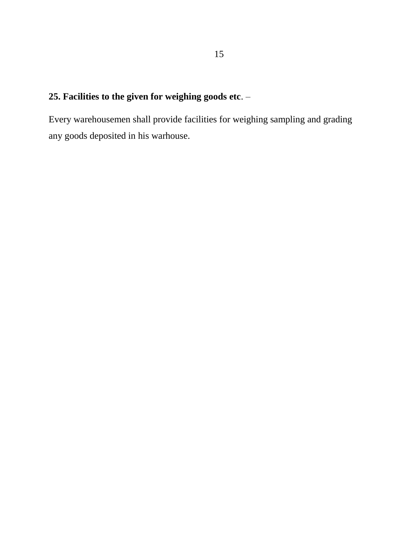# **25. Facilities to the given for weighing goods etc**. –

Every warehousemen shall provide facilities for weighing sampling and grading any goods deposited in his warhouse.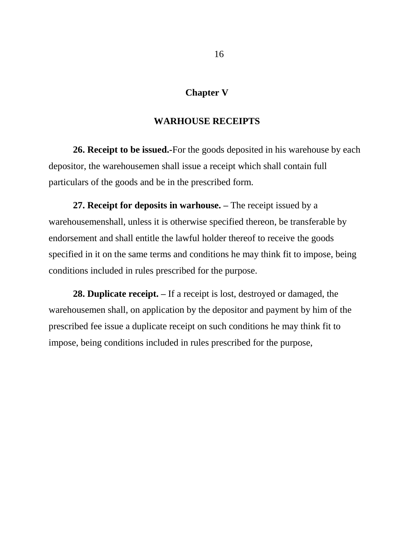### **Chapter V**

#### **WARHOUSE RECEIPTS**

**26. Receipt to be issued.-**For the goods deposited in his warehouse by each depositor, the warehousemen shall issue a receipt which shall contain full particulars of the goods and be in the prescribed form.

**27. Receipt for deposits in warhouse. –** The receipt issued by a warehousemenshall, unless it is otherwise specified thereon, be transferable by endorsement and shall entitle the lawful holder thereof to receive the goods specified in it on the same terms and conditions he may think fit to impose, being conditions included in rules prescribed for the purpose.

**28. Duplicate receipt. –** If a receipt is lost, destroyed or damaged, the warehousemen shall, on application by the depositor and payment by him of the prescribed fee issue a duplicate receipt on such conditions he may think fit to impose, being conditions included in rules prescribed for the purpose,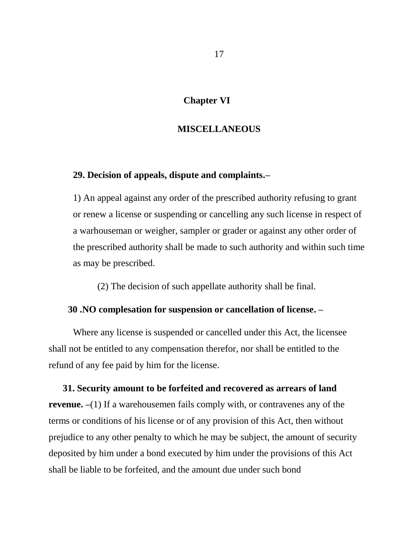#### **Chapter VI**

#### **MISCELLANEOUS**

#### **29. Decision of appeals, dispute and complaints.–**

1) An appeal against any order of the prescribed authority refusing to grant or renew a license or suspending or cancelling any such license in respect of a warhouseman or weigher, sampler or grader or against any other order of the prescribed authority shall be made to such authority and within such time as may be prescribed.

(2) The decision of such appellate authority shall be final.

#### **30 .NO complesation for suspension or cancellation of license. –**

Where any license is suspended or cancelled under this Act, the licensee shall not be entitled to any compensation therefor, nor shall be entitled to the refund of any fee paid by him for the license.

 **31. Security amount to be forfeited and recovered as arrears of land revenue.** –(1) If a warehousemen fails comply with, or contravenes any of the terms or conditions of his license or of any provision of this Act, then without prejudice to any other penalty to which he may be subject, the amount of security deposited by him under a bond executed by him under the provisions of this Act shall be liable to be forfeited, and the amount due under such bond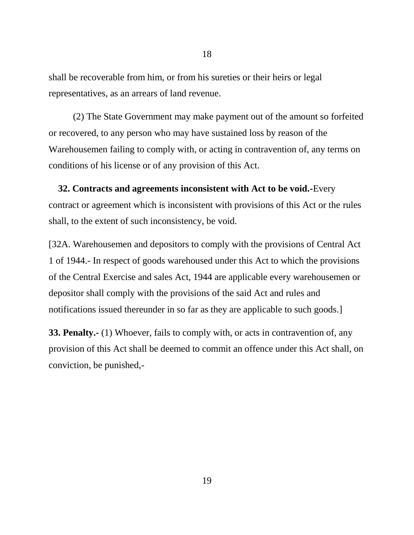shall be recoverable from him, or from his sureties or their heirs or legal representatives, as an arrears of land revenue.

(2) The State Government may make payment out of the amount so forfeited or recovered, to any person who may have sustained loss by reason of the Warehousemen failing to comply with, or acting in contravention of, any terms on conditions of his license or of any provision of this Act.

 **32. Contracts and agreements inconsistent with Act to be void.-**Every contract or agreement which is inconsistent with provisions of this Act or the rules shall, to the extent of such inconsistency, be void.

[32A. Warehousemen and depositors to comply with the provisions of Central Act 1 of 1944.- In respect of goods warehoused under this Act to which the provisions of the Central Exercise and sales Act, 1944 are applicable every warehousemen or depositor shall comply with the provisions of the said Act and rules and notifications issued thereunder in so far as they are applicable to such goods.]

**33. Penalty.-** (1) Whoever, fails to comply with, or acts in contravention of, any provision of this Act shall be deemed to commit an offence under this Act shall, on conviction, be punished,-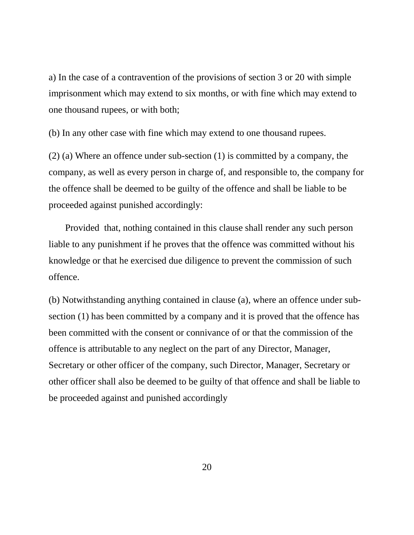a) In the case of a contravention of the provisions of section 3 or 20 with simple imprisonment which may extend to six months, or with fine which may extend to one thousand rupees, or with both;

(b) In any other case with fine which may extend to one thousand rupees.

(2) (a) Where an offence under sub-section (1) is committed by a company, the company, as well as every person in charge of, and responsible to, the company for the offence shall be deemed to be guilty of the offence and shall be liable to be proceeded against punished accordingly:

 Provided that, nothing contained in this clause shall render any such person liable to any punishment if he proves that the offence was committed without his knowledge or that he exercised due diligence to prevent the commission of such offence.

(b) Notwithstanding anything contained in clause (a), where an offence under subsection (1) has been committed by a company and it is proved that the offence has been committed with the consent or connivance of or that the commission of the offence is attributable to any neglect on the part of any Director, Manager, Secretary or other officer of the company, such Director, Manager, Secretary or other officer shall also be deemed to be guilty of that offence and shall be liable to be proceeded against and punished accordingly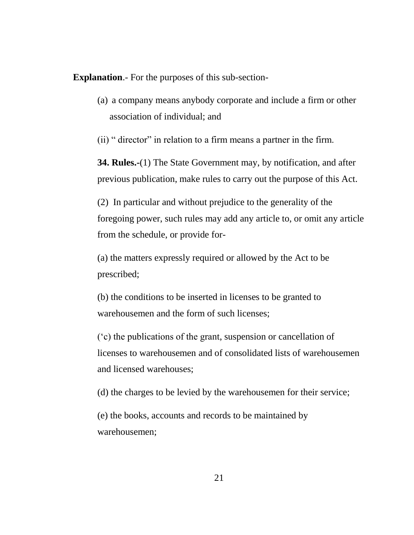**Explanation**.- For the purposes of this sub-section-

(a) a company means anybody corporate and include a firm or other association of individual; and

(ii) " director" in relation to a firm means a partner in the firm.

**34. Rules.-**(1) The State Government may, by notification, and after previous publication, make rules to carry out the purpose of this Act.

(2) In particular and without prejudice to the generality of the foregoing power, such rules may add any article to, or omit any article from the schedule, or provide for-

(a) the matters expressly required or allowed by the Act to be prescribed;

(b) the conditions to be inserted in licenses to be granted to warehousemen and the form of such licenses;

("c) the publications of the grant, suspension or cancellation of licenses to warehousemen and of consolidated lists of warehousemen and licensed warehouses;

(d) the charges to be levied by the warehousemen for their service;

(e) the books, accounts and records to be maintained by warehousemen;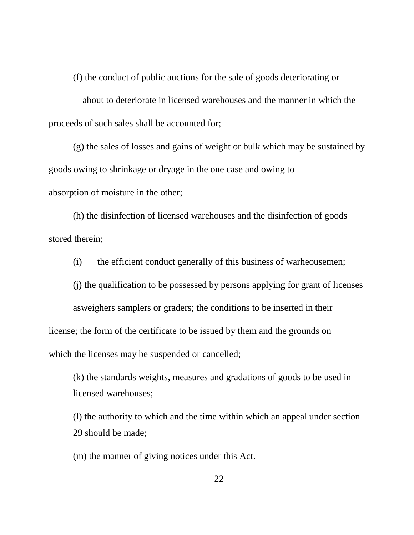(f) the conduct of public auctions for the sale of goods deteriorating or

about to deteriorate in licensed warehouses and the manner in which the proceeds of such sales shall be accounted for;

(g) the sales of losses and gains of weight or bulk which may be sustained by goods owing to shrinkage or dryage in the one case and owing to absorption of moisture in the other;

(h) the disinfection of licensed warehouses and the disinfection of goods stored therein;

(i) the efficient conduct generally of this business of warheousemen;

(j) the qualification to be possessed by persons applying for grant of licenses

asweighers samplers or graders; the conditions to be inserted in their

license; the form of the certificate to be issued by them and the grounds on

which the licenses may be suspended or cancelled;

(k) the standards weights, measures and gradations of goods to be used in licensed warehouses;

(l) the authority to which and the time within which an appeal under section 29 should be made;

(m) the manner of giving notices under this Act.

22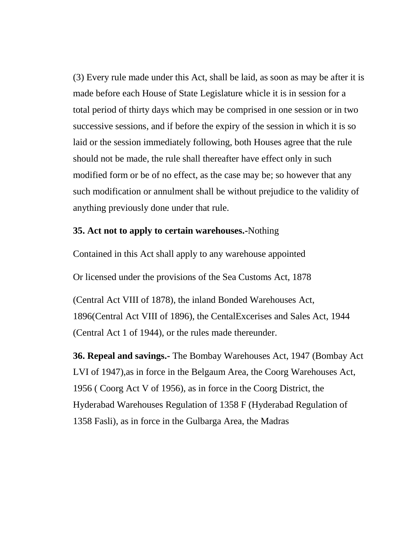(3) Every rule made under this Act, shall be laid, as soon as may be after it is made before each House of State Legislature whicle it is in session for a total period of thirty days which may be comprised in one session or in two successive sessions, and if before the expiry of the session in which it is so laid or the session immediately following, both Houses agree that the rule should not be made, the rule shall thereafter have effect only in such modified form or be of no effect, as the case may be; so however that any such modification or annulment shall be without prejudice to the validity of anything previously done under that rule.

### **35. Act not to apply to certain warehouses.-**Nothing

Contained in this Act shall apply to any warehouse appointed

Or licensed under the provisions of the Sea Customs Act, 1878

(Central Act VIII of 1878), the inland Bonded Warehouses Act, 1896(Central Act VIII of 1896), the CentalExcerises and Sales Act, 1944 (Central Act 1 of 1944), or the rules made thereunder.

**36. Repeal and savings.-** The Bombay Warehouses Act, 1947 (Bombay Act LVI of 1947),as in force in the Belgaum Area, the Coorg Warehouses Act, 1956 ( Coorg Act V of 1956), as in force in the Coorg District, the Hyderabad Warehouses Regulation of 1358 F (Hyderabad Regulation of 1358 Fasli), as in force in the Gulbarga Area, the Madras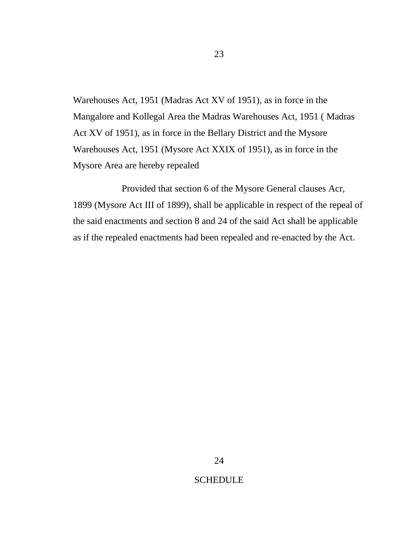Warehouses Act, 1951 (Madras Act XV of 1951), as in force in the Mangalore and Kollegal Area the Madras Warehouses Act, 1951 ( Madras Act XV of 1951), as in force in the Bellary District and the Mysore Warehouses Act, 1951 (Mysore Act XXIX of 1951), as in force in the Mysore Area are hereby repealed

Provided that section 6 of the Mysore General clauses Acr, 1899 (Mysore Act III of 1899), shall be applicable in respect of the repeal of the said enactments and section 8 and 24 of the said Act shall be applicable as if the repealed enactments had been repealed and re-enacted by the Act.

#### **SCHEDULE**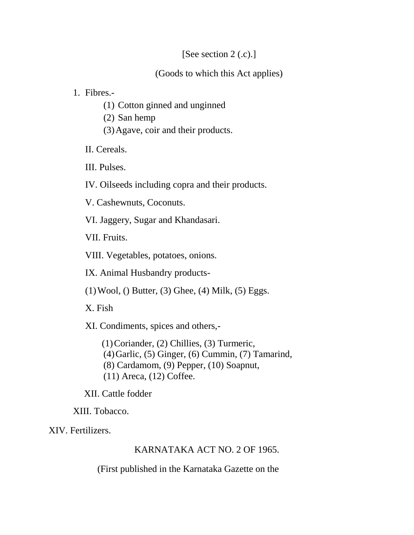## [See section 2 (.c).]

(Goods to which this Act applies)

1. Fibres.-

- (1) Cotton ginned and unginned
- (2) San hemp
- (3)Agave, coir and their products.

II. Cereals.

III. Pulses.

IV. Oilseeds including copra and their products.

V. Cashewnuts, Coconuts.

VI. Jaggery, Sugar and Khandasari.

VII. Fruits.

VIII. Vegetables, potatoes, onions.

IX. Animal Husbandry products-

 $(1)$ Wool,  $()$  Butter,  $(3)$  Ghee,  $(4)$  Milk,  $(5)$  Eggs.

X. Fish

XI. Condiments, spices and others,-

(1)Coriander, (2) Chillies, (3) Turmeric, (4)Garlic, (5) Ginger, (6) Cummin, (7) Tamarind, (8) Cardamom, (9) Pepper, (10) Soapnut, (11) Areca, (12) Coffee.

XII. Cattle fodder

XIII. Tobacco.

XIV. Fertilizers.

## KARNATAKA ACT NO. 2 OF 1965.

(First published in the Karnataka Gazette on the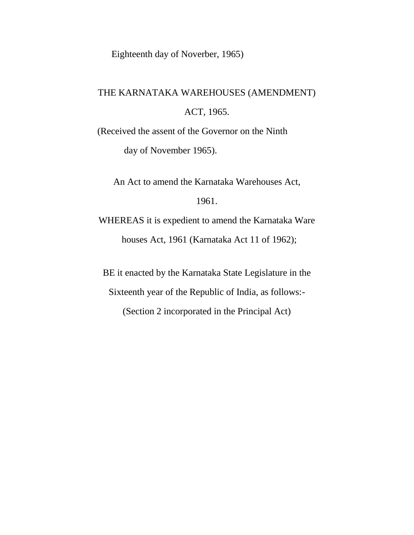Eighteenth day of Noverber, 1965)

# THE KARNATAKA WAREHOUSES (AMENDMENT) ACT, 1965.

(Received the assent of the Governor on the Ninth day of November 1965).

An Act to amend the Karnataka Warehouses Act,

## 1961.

WHEREAS it is expedient to amend the Karnataka Ware houses Act, 1961 (Karnataka Act 11 of 1962);

BE it enacted by the Karnataka State Legislature in the

Sixteenth year of the Republic of India, as follows:-

(Section 2 incorporated in the Principal Act)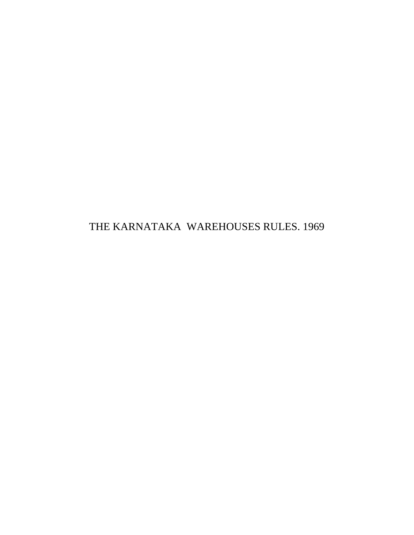THE KARNATAKA WAREHOUSES RULES. 1969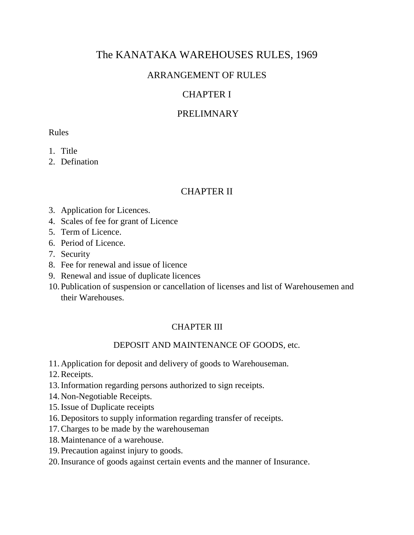# The KANATAKA WAREHOUSES RULES, 1969

# ARRANGEMENT OF RULES

# CHAPTER I

## PRELIMNARY

#### Rules

- 1. Title
- 2. Defination

## CHAPTER II

- 3. Application for Licences.
- 4. Scales of fee for grant of Licence
- 5. Term of Licence.
- 6. Period of Licence.
- 7. Security
- 8. Fee for renewal and issue of licence
- 9. Renewal and issue of duplicate licences
- 10.Publication of suspension or cancellation of licenses and list of Warehousemen and their Warehouses.

## CHAPTER III

## DEPOSIT AND MAINTENANCE OF GOODS, etc.

- 11.Application for deposit and delivery of goods to Warehouseman.
- 12.Receipts.
- 13.Information regarding persons authorized to sign receipts.
- 14.Non-Negotiable Receipts.
- 15.Issue of Duplicate receipts
- 16.Depositors to supply information regarding transfer of receipts.
- 17.Charges to be made by the warehouseman
- 18.Maintenance of a warehouse.
- 19.Precaution against injury to goods.
- 20.Insurance of goods against certain events and the manner of Insurance.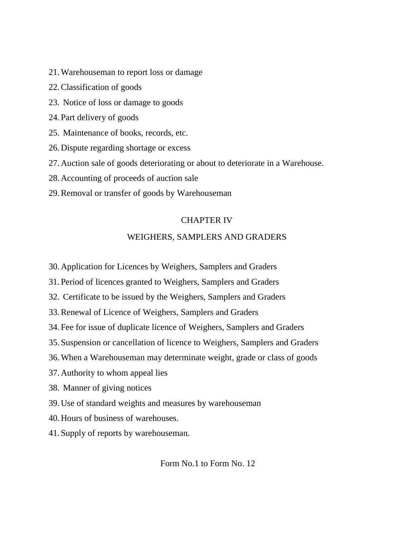- 21.Warehouseman to report loss or damage
- 22.Classification of goods
- 23. Notice of loss or damage to goods
- 24.Part delivery of goods
- 25. Maintenance of books, records, etc.
- 26.Dispute regarding shortage or excess
- 27.Auction sale of goods deteriorating or about to deteriorate in a Warehouse.
- 28.Accounting of proceeds of auction sale
- 29.Removal or transfer of goods by Warehouseman

#### CHAPTER IV

#### WEIGHERS, SAMPLERS AND GRADERS

- 30.Application for Licences by Weighers, Samplers and Graders
- 31.Period of licences granted to Weighers, Samplers and Graders
- 32. Certificate to be issued by the Weighers, Samplers and Graders
- 33.Renewal of Licence of Weighers, Samplers and Graders
- 34.Fee for issue of duplicate licence of Weighers, Samplers and Graders
- 35.Suspension or cancellation of licence to Weighers, Samplers and Graders
- 36.When a Warehouseman may determinate weight, grade or class of goods
- 37.Authority to whom appeal lies
- 38. Manner of giving notices
- 39.Use of standard weights and measures by warehouseman
- 40.Hours of business of warehouses.
- 41.Supply of reports by warehouseman.

Form No.1 to Form No. 12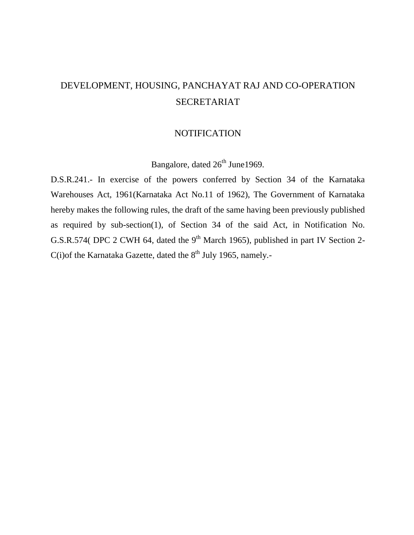# DEVELOPMENT, HOUSING, PANCHAYAT RAJ AND CO-OPERATION SECRETARIAT

#### **NOTIFICATION**

Bangalore, dated  $26<sup>th</sup>$  June1969.

D.S.R.241.- In exercise of the powers conferred by Section 34 of the Karnataka Warehouses Act, 1961(Karnataka Act No.11 of 1962), The Government of Karnataka hereby makes the following rules, the draft of the same having been previously published as required by sub-section(1), of Section 34 of the said Act, in Notification No. G.S.R.574( DPC 2 CWH 64, dated the  $9<sup>th</sup>$  March 1965), published in part IV Section 2- $C(i)$ of the Karnataka Gazette, dated the  $8<sup>th</sup>$  July 1965, namely.-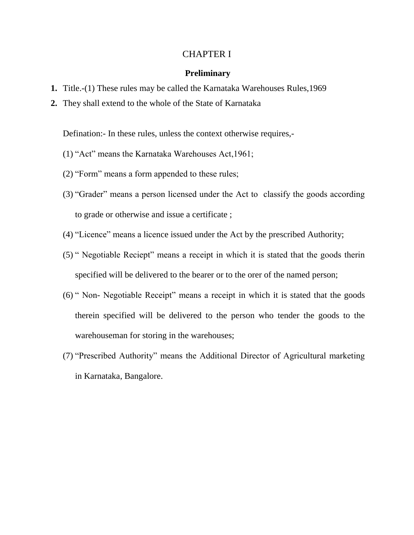#### CHAPTER I

#### **Preliminary**

- **1.** Title.-(1) These rules may be called the Karnataka Warehouses Rules,1969
- **2.** They shall extend to the whole of the State of Karnataka

Defination:- In these rules, unless the context otherwise requires,-

- (1) "Act" means the Karnataka Warehouses Act,1961;
- (2) "Form" means a form appended to these rules;
- (3) "Grader" means a person licensed under the Act to classify the goods according to grade or otherwise and issue a certificate ;
- (4) "Licence" means a licence issued under the Act by the prescribed Authority;
- (5) " Negotiable Reciept" means a receipt in which it is stated that the goods therin specified will be delivered to the bearer or to the orer of the named person;
- (6) " Non- Negotiable Receipt" means a receipt in which it is stated that the goods therein specified will be delivered to the person who tender the goods to the warehouseman for storing in the warehouses;
- (7) "Prescribed Authority" means the Additional Director of Agricultural marketing in Karnataka, Bangalore.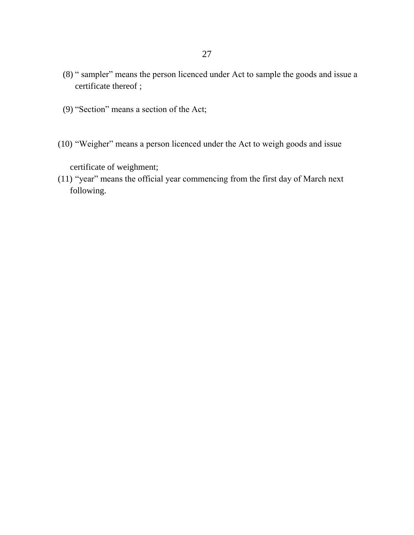- (8) " sampler" means the person licenced under Act to sample the goods and issue a certificate thereof ;
- (9) "Section" means a section of the Act;
- (10) "Weigher" means a person licenced under the Act to weigh goods and issue

certificate of weighment;

(11) "year" means the official year commencing from the first day of March next following.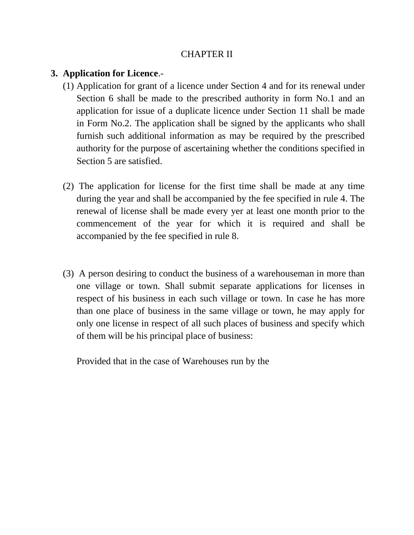## CHAPTER II

## **3. Application for Licence**.-

- (1) Application for grant of a licence under Section 4 and for its renewal under Section 6 shall be made to the prescribed authority in form No.1 and an application for issue of a duplicate licence under Section 11 shall be made in Form No.2. The application shall be signed by the applicants who shall furnish such additional information as may be required by the prescribed authority for the purpose of ascertaining whether the conditions specified in Section 5 are satisfied.
- (2) The application for license for the first time shall be made at any time during the year and shall be accompanied by the fee specified in rule 4. The renewal of license shall be made every yer at least one month prior to the commencement of the year for which it is required and shall be accompanied by the fee specified in rule 8.
- (3) A person desiring to conduct the business of a warehouseman in more than one village or town. Shall submit separate applications for licenses in respect of his business in each such village or town. In case he has more than one place of business in the same village or town, he may apply for only one license in respect of all such places of business and specify which of them will be his principal place of business:

Provided that in the case of Warehouses run by the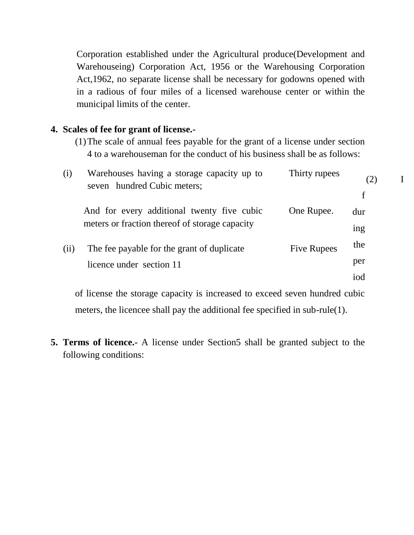Corporation established under the Agricultural produce(Development and Warehouseing) Corporation Act, 1956 or the Warehousing Corporation Act,1962, no separate license shall be necessary for godowns opened with in a radious of four miles of a licensed warehouse center or within the municipal limits of the center.

#### **4. Scales of fee for grant of license.-**

(1)The scale of annual fees payable for the grant of a license under section 4 to a warehouseman for the conduct of his business shall be as follows:

| (i)  | Warehouses having a storage capacity up to<br>seven hundred Cubic meters;                    | Thirty rupees      | (2)<br>f |  |
|------|----------------------------------------------------------------------------------------------|--------------------|----------|--|
|      | And for every additional twenty five cubic<br>meters or fraction thereof of storage capacity | One Rupee.         | dur      |  |
|      |                                                                                              |                    | ing      |  |
| (ii) | The fee payable for the grant of duplicate<br>licence under section 11                       | <b>Five Rupees</b> | the      |  |
|      |                                                                                              |                    | per      |  |
|      |                                                                                              |                    | iod      |  |
|      |                                                                                              |                    |          |  |

of license the storage capacity is increased to exceed seven hundred cubic meters, the licencee shall pay the additional fee specified in sub-rule(1).

**5. Terms of licence.-** A license under Section5 shall be granted subject to the following conditions: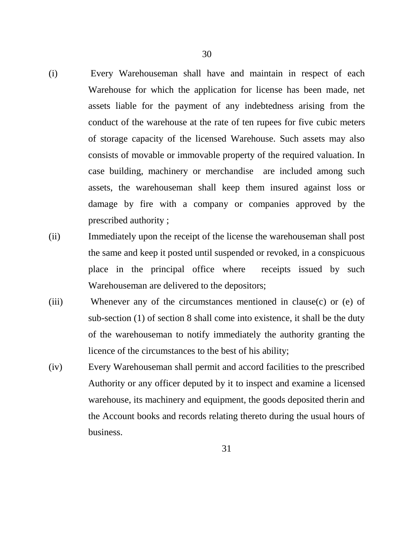- (i) Every Warehouseman shall have and maintain in respect of each Warehouse for which the application for license has been made, net assets liable for the payment of any indebtedness arising from the conduct of the warehouse at the rate of ten rupees for five cubic meters of storage capacity of the licensed Warehouse. Such assets may also consists of movable or immovable property of the required valuation. In case building, machinery or merchandise are included among such assets, the warehouseman shall keep them insured against loss or damage by fire with a company or companies approved by the prescribed authority ;
- (ii) Immediately upon the receipt of the license the warehouseman shall post the same and keep it posted until suspended or revoked, in a conspicuous place in the principal office where receipts issued by such Warehouseman are delivered to the depositors;
- (iii) Whenever any of the circumstances mentioned in clause(c) or (e) of sub-section (1) of section 8 shall come into existence, it shall be the duty of the warehouseman to notify immediately the authority granting the licence of the circumstances to the best of his ability;
- (iv) Every Warehouseman shall permit and accord facilities to the prescribed Authority or any officer deputed by it to inspect and examine a licensed warehouse, its machinery and equipment, the goods deposited therin and the Account books and records relating thereto during the usual hours of business.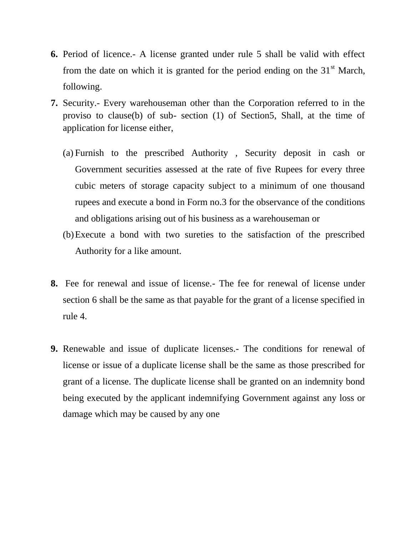- **6.** Period of licence.- A license granted under rule 5 shall be valid with effect from the date on which it is granted for the period ending on the  $31<sup>st</sup>$  March, following.
- **7.** Security.- Every warehouseman other than the Corporation referred to in the proviso to clause(b) of sub- section (1) of Section5, Shall, at the time of application for license either,
	- (a) Furnish to the prescribed Authority , Security deposit in cash or Government securities assessed at the rate of five Rupees for every three cubic meters of storage capacity subject to a minimum of one thousand rupees and execute a bond in Form no.3 for the observance of the conditions and obligations arising out of his business as a warehouseman or
	- (b)Execute a bond with two sureties to the satisfaction of the prescribed Authority for a like amount.
- **8.** Fee for renewal and issue of license.- The fee for renewal of license under section 6 shall be the same as that payable for the grant of a license specified in rule 4.
- **9.** Renewable and issue of duplicate licenses.- The conditions for renewal of license or issue of a duplicate license shall be the same as those prescribed for grant of a license. The duplicate license shall be granted on an indemnity bond being executed by the applicant indemnifying Government against any loss or damage which may be caused by any one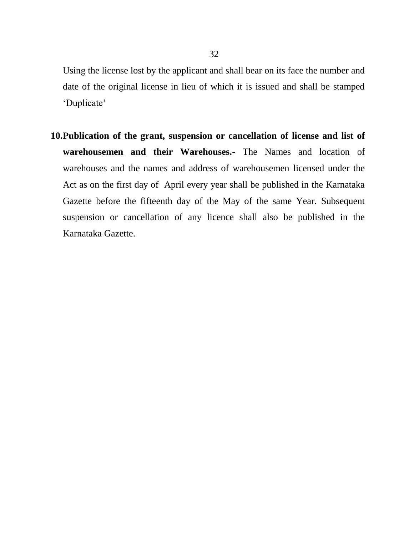Using the license lost by the applicant and shall bear on its face the number and date of the original license in lieu of which it is issued and shall be stamped 'Duplicate'

**10.Publication of the grant, suspension or cancellation of license and list of warehousemen and their Warehouses.-** The Names and location of warehouses and the names and address of warehousemen licensed under the Act as on the first day of April every year shall be published in the Karnataka Gazette before the fifteenth day of the May of the same Year. Subsequent suspension or cancellation of any licence shall also be published in the Karnataka Gazette.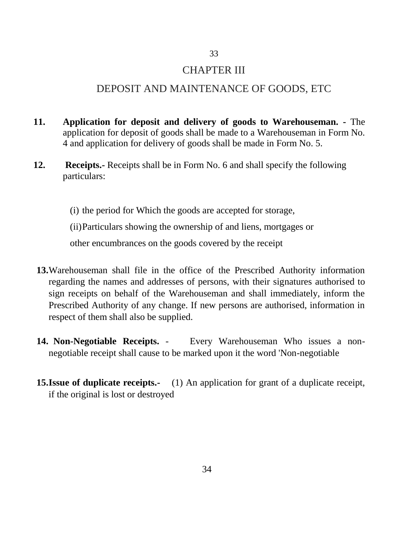## CHAPTER III

33

## DEPOSIT AND MAINTENANCE OF GOODS, ETC

- **11. Application for deposit and delivery of goods to Warehouseman. -** The application for deposit of goods shall be made to a Warehouseman in Form No. 4 and application for delivery of goods shall be made in Form No. 5.
- **12. Receipts.-** Receipts shall be in Form No. 6 and shall specify the following particulars:

(i) the period for Which the goods are accepted for storage,

(ii)Particulars showing the ownership of and liens, mortgages or

other encumbrances on the goods covered by the receipt

- **13.**Warehouseman shall file in the office of the Prescribed Authority information regarding the names and addresses of persons, with their signatures authorised to sign receipts on behalf of the Warehouseman and shall immediately, inform the Prescribed Authority of any change. If new persons are authorised, information in respect of them shall also be supplied.
- **14. Non-Negotiable Receipts.** Every Warehouseman Who issues a nonnegotiable receipt shall cause to be marked upon it the word 'Non-negotiable
- **15.Issue of duplicate receipts.-** (1) An application for grant of a duplicate receipt, if the original is lost or destroyed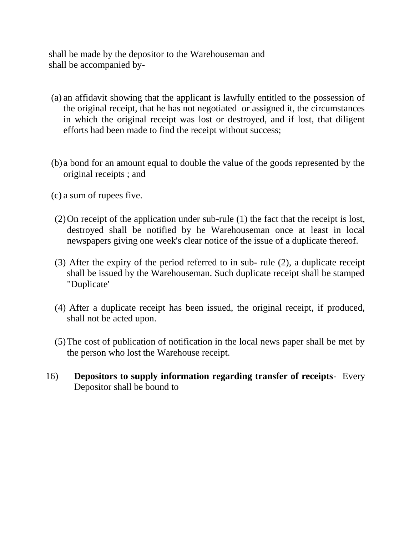shall be made by the depositor to the Warehouseman and shall be accompanied by-

- (a) an affidavit showing that the applicant is lawfully entitled to the possession of the original receipt, that he has not negotiated or assigned it, the circumstances in which the original receipt was lost or destroyed, and if lost, that diligent efforts had been made to find the receipt without success;
- (b) a bond for an amount equal to double the value of the goods represented by the original receipts ; and
- (c) a sum of rupees five.
- (2)On receipt of the application under sub-rule (1) the fact that the receipt is lost, destroyed shall be notified by he Warehouseman once at least in local newspapers giving one week's clear notice of the issue of a duplicate thereof.
- (3) After the expiry of the period referred to in sub- rule (2), a duplicate receipt shall be issued by the Warehouseman. Such duplicate receipt shall be stamped "Duplicate'
- (4) After a duplicate receipt has been issued, the original receipt, if produced, shall not be acted upon.
- (5)The cost of publication of notification in the local news paper shall be met by the person who lost the Warehouse receipt.
- 16) **Depositors to supply information regarding transfer of receipts** Every Depositor shall be bound to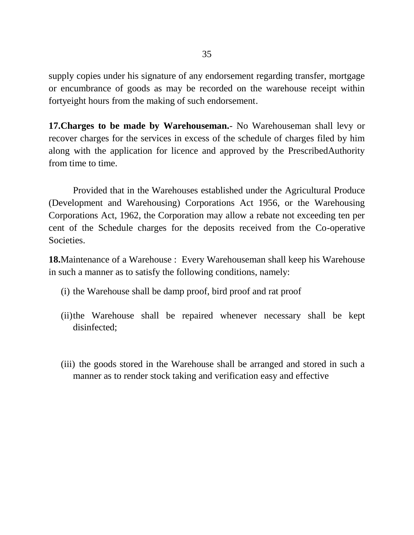supply copies under his signature of any endorsement regarding transfer, mortgage or encumbrance of goods as may be recorded on the warehouse receipt within fortyeight hours from the making of such endorsement.

**17.Charges to be made by Warehouseman.**- No Warehouseman shall levy or recover charges for the services in excess of the schedule of charges filed by him along with the application for licence and approved by the PrescribedAuthority from time to time.

Provided that in the Warehouses established under the Agricultural Produce (Development and Warehousing) Corporations Act 1956, or the Warehousing Corporations Act, 1962, the Corporation may allow a rebate not exceeding ten per cent of the Schedule charges for the deposits received from the Co-operative Societies.

**18.**Maintenance of a Warehouse : Every Warehouseman shall keep his Warehouse in such a manner as to satisfy the following conditions, namely:

- (i) the Warehouse shall be damp proof, bird proof and rat proof
- (ii)the Warehouse shall be repaired whenever necessary shall be kept disinfected;
- (iii) the goods stored in the Warehouse shall be arranged and stored in such a manner as to render stock taking and verification easy and effective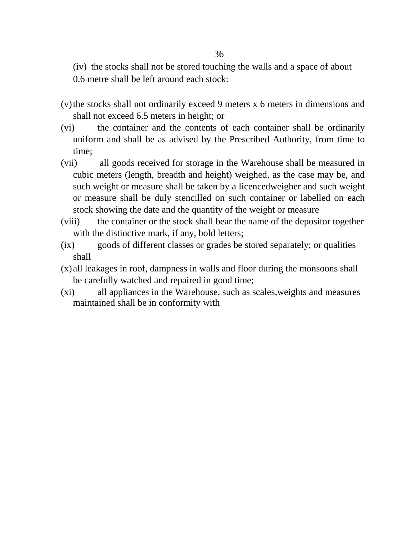(iv) the stocks shall not be stored touching the walls and a space of about

- 0.6 metre shall be left around each stock:
- (v)the stocks shall not ordinarily exceed 9 meters x 6 meters in dimensions and shall not exceed 6.5 meters in height; or
- (vi) the container and the contents of each container shall be ordinarily uniform and shall be as advised by the Prescribed Authority, from time to time;
- (vii) all goods received for storage in the Warehouse shall be measured in cubic meters (length, breadth and height) weighed, as the case may be, and such weight or measure shall be taken by a licencedweigher and such weight or measure shall be duly stencilled on such container or labelled on each stock showing the date and the quantity of the weight or measure
- (viii) the container or the stock shall bear the name of the depositor together with the distinctive mark, if any, bold letters;
- (ix) goods of different classes or grades be stored separately; or qualities shall
- (x) all leakages in roof, dampness in walls and floor during the monsoons shall be carefully watched and repaired in good time;
- (xi) all appliances in the Warehouse, such as scales,weights and measures maintained shall be in conformity with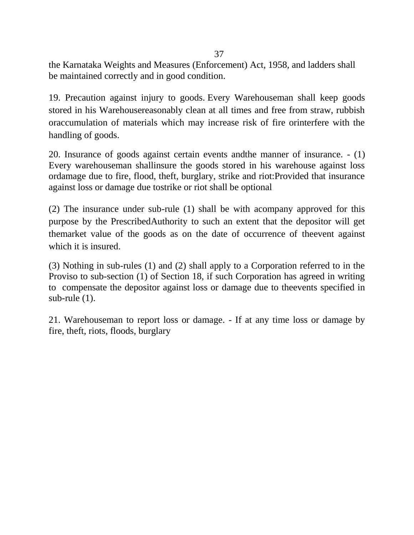the Karnataka Weights and Measures (Enforcement) Act, 1958, and ladders shall be maintained correctly and in good condition.

19. Precaution against injury to goods. Every Warehouseman shall keep goods stored in his Warehousereasonably clean at all times and free from straw, rubbish oraccumulation of materials which may increase risk of fire orinterfere with the handling of goods.

20. Insurance of goods against certain events andthe manner of insurance. - (1) Every warehouseman shallinsure the goods stored in his warehouse against loss ordamage due to fire, flood, theft, burglary, strike and riot:Provided that insurance against loss or damage due tostrike or riot shall be optional

(2) The insurance under sub-rule (1) shall be with acompany approved for this purpose by the PrescribedAuthority to such an extent that the depositor will get themarket value of the goods as on the date of occurrence of theevent against which it is insured.

(3) Nothing in sub-rules (1) and (2) shall apply to a Corporation referred to in the Proviso to sub-section (1) of Section 18, if such Corporation has agreed in writing to compensate the depositor against loss or damage due to theevents specified in sub-rule (1).

21. Warehouseman to report loss or damage. - If at any time loss or damage by fire, theft, riots, floods, burglary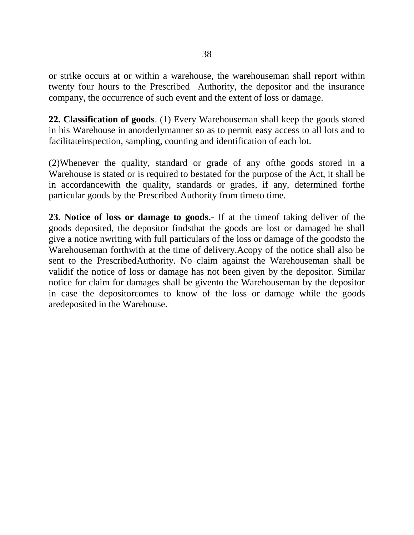or strike occurs at or within a warehouse, the warehouseman shall report within twenty four hours to the Prescribed Authority, the depositor and the insurance company, the occurrence of such event and the extent of loss or damage.

**22. Classification of goods**. (1) Every Warehouseman shall keep the goods stored in his Warehouse in anorderlymanner so as to permit easy access to all lots and to facilitateinspection, sampling, counting and identification of each lot.

(2)Whenever the quality, standard or grade of any ofthe goods stored in a Warehouse is stated or is required to bestated for the purpose of the Act, it shall be in accordancewith the quality, standards or grades, if any, determined forthe particular goods by the Prescribed Authority from timeto time.

**23. Notice of loss or damage to goods.-** If at the timeof taking deliver of the goods deposited, the depositor findsthat the goods are lost or damaged he shall give a notice nwriting with full particulars of the loss or damage of the goodsto the Warehouseman forthwith at the time of delivery.Acopy of the notice shall also be sent to the PrescribedAuthority. No claim against the Warehouseman shall be validif the notice of loss or damage has not been given by the depositor. Similar notice for claim for damages shall be givento the Warehouseman by the depositor in case the depositorcomes to know of the loss or damage while the goods aredeposited in the Warehouse.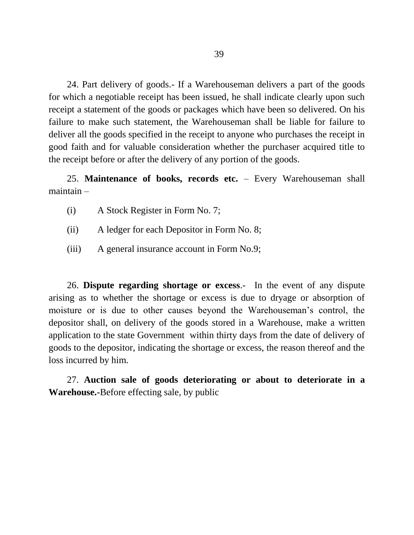24. Part delivery of goods.- If a Warehouseman delivers a part of the goods for which a negotiable receipt has been issued, he shall indicate clearly upon such receipt a statement of the goods or packages which have been so delivered. On his failure to make such statement, the Warehouseman shall be liable for failure to deliver all the goods specified in the receipt to anyone who purchases the receipt in good faith and for valuable consideration whether the purchaser acquired title to the receipt before or after the delivery of any portion of the goods.

25. **Maintenance of books, records etc.** – Every Warehouseman shall maintain –

- (i) A Stock Register in Form No. 7;
- (ii) A ledger for each Depositor in Form No. 8;
- (iii) A general insurance account in Form No.9;

26. **Dispute regarding shortage or excess**.- In the event of any dispute arising as to whether the shortage or excess is due to dryage or absorption of moisture or is due to other causes beyond the Warehouseman"s control, the depositor shall, on delivery of the goods stored in a Warehouse, make a written application to the state Government within thirty days from the date of delivery of goods to the depositor, indicating the shortage or excess, the reason thereof and the loss incurred by him.

27. **Auction sale of goods deteriorating or about to deteriorate in a Warehouse.-**Before effecting sale, by public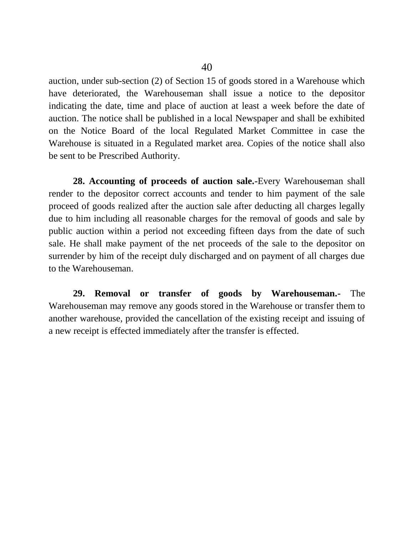auction, under sub-section (2) of Section 15 of goods stored in a Warehouse which have deteriorated, the Warehouseman shall issue a notice to the depositor indicating the date, time and place of auction at least a week before the date of auction. The notice shall be published in a local Newspaper and shall be exhibited on the Notice Board of the local Regulated Market Committee in case the Warehouse is situated in a Regulated market area. Copies of the notice shall also be sent to be Prescribed Authority.

**28. Accounting of proceeds of auction sale.-**Every Warehou**s**eman shall render to the depositor correct accounts and tender to him payment of the sale proceed of goods realized after the auction sale after deducting all charges legally due to him including all reasonable charges for the removal of goods and sale by public auction within a period not exceeding fifteen days from the date of such sale. He shall make payment of the net proceeds of the sale to the depositor on surrender by him of the receipt duly discharged and on payment of all charges due to the Warehouseman.

**29. Removal or transfer of goods by Warehouseman.-** The Warehouseman may remove any goods stored in the Warehouse or transfer them to another warehouse, provided the cancellation of the existing receipt and issuing of a new receipt is effected immediately after the transfer is effected.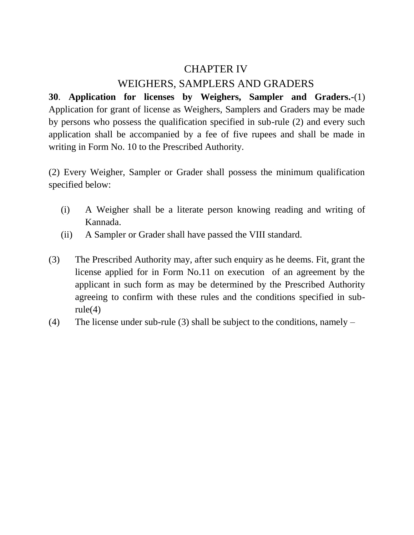# CHAPTER IV

## WEIGHERS, SAMPLERS AND GRADERS

**30**. **Application for licenses by Weighers, Sampler and Graders.-**(1) Application for grant of license as Weighers, Samplers and Graders may be made by persons who possess the qualification specified in sub-rule (2) and every such application shall be accompanied by a fee of five rupees and shall be made in writing in Form No. 10 to the Prescribed Authority.

(2) Every Weigher, Sampler or Grader shall possess the minimum qualification specified below:

- (i) A Weigher shall be a literate person knowing reading and writing of Kannada.
- (ii) A Sampler or Grader shall have passed the VIII standard.
- (3) The Prescribed Authority may, after such enquiry as he deems. Fit, grant the license applied for in Form No.11 on execution of an agreement by the applicant in such form as may be determined by the Prescribed Authority agreeing to confirm with these rules and the conditions specified in sub $rule(4)$
- (4) The license under sub-rule (3) shall be subject to the conditions, namely –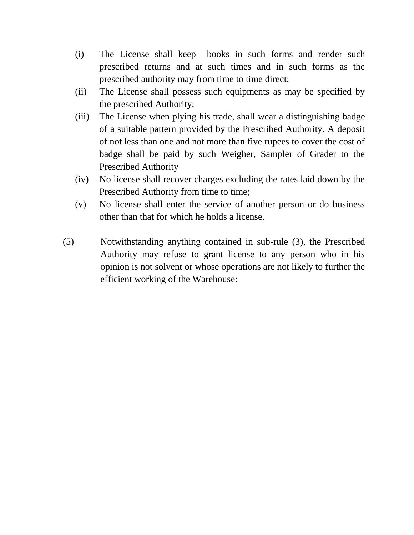- (i) The License shall keep books in such forms and render such prescribed returns and at such times and in such forms as the prescribed authority may from time to time direct;
- (ii) The License shall possess such equipments as may be specified by the prescribed Authority;
- (iii) The License when plying his trade, shall wear a distinguishing badge of a suitable pattern provided by the Prescribed Authority. A deposit of not less than one and not more than five rupees to cover the cost of badge shall be paid by such Weigher, Sampler of Grader to the Prescribed Authority
- (iv) No license shall recover charges excluding the rates laid down by the Prescribed Authority from time to time;
- (v) No license shall enter the service of another person or do business other than that for which he holds a license.
- (5) Notwithstanding anything contained in sub-rule (3), the Prescribed Authority may refuse to grant license to any person who in his opinion is not solvent or whose operations are not likely to further the efficient working of the Warehouse: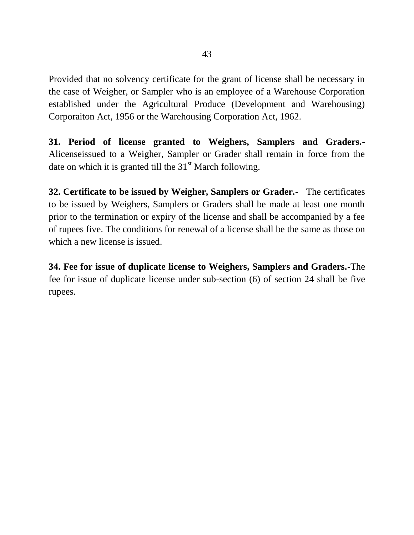Provided that no solvency certificate for the grant of license shall be necessary in the case of Weigher, or Sampler who is an employee of a Warehouse Corporation established under the Agricultural Produce (Development and Warehousing) Corporaiton Act, 1956 or the Warehousing Corporation Act, 1962.

**31. Period of license granted to Weighers, Samplers and Graders.-** Alicenseissued to a Weigher, Sampler or Grader shall remain in force from the date on which it is granted till the  $31<sup>st</sup>$  March following.

**32. Certificate to be issued by Weigher, Samplers or Grader.-** The certificates to be issued by Weighers, Samplers or Graders shall be made at least one month prior to the termination or expiry of the license and shall be accompanied by a fee of rupees five. The conditions for renewal of a license shall be the same as those on which a new license is issued.

**34. Fee for issue of duplicate license to Weighers, Samplers and Graders.-**The fee for issue of duplicate license under sub-section (6) of section 24 shall be five rupees.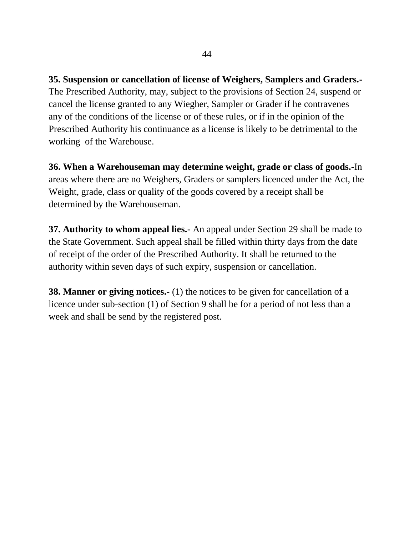**35. Suspension or cancellation of license of Weighers, Samplers and Graders.-** The Prescribed Authority, may, subject to the provisions of Section 24, suspend or cancel the license granted to any Wiegher, Sampler or Grader if he contravenes any of the conditions of the license or of these rules, or if in the opinion of the Prescribed Authority his continuance as a license is likely to be detrimental to the working of the Warehouse.

**36. When a Warehouseman may determine weight, grade or class of goods.-**In areas where there are no Weighers, Graders or samplers licenced under the Act, the Weight, grade, class or quality of the goods covered by a receipt shall be determined by the Warehouseman.

**37. Authority to whom appeal lies.-** An appeal under Section 29 shall be made to the State Government. Such appeal shall be filled within thirty days from the date of receipt of the order of the Prescribed Authority. It shall be returned to the authority within seven days of such expiry, suspension or cancellation.

**38. Manner or giving notices.**- (1) the notices to be given for cancellation of a licence under sub-section (1) of Section 9 shall be for a period of not less than a week and shall be send by the registered post.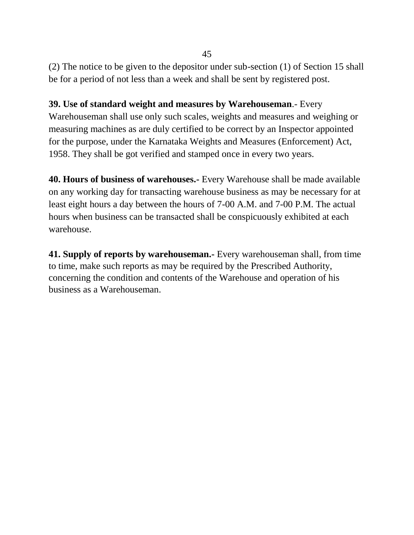(2) The notice to be given to the depositor under sub-section (1) of Section 15 shall be for a period of not less than a week and shall be sent by registered post.

**39. Use of standard weight and measures by Warehouseman**.- Every Warehouseman shall use only such scales, weights and measures and weighing or measuring machines as are duly certified to be correct by an Inspector appointed for the purpose, under the Karnataka Weights and Measures (Enforcement) Act, 1958. They shall be got verified and stamped once in every two years.

**40. Hours of business of warehouses.-** Every Warehouse shall be made available on any working day for transacting warehouse business as may be necessary for at least eight hours a day between the hours of 7-00 A.M. and 7-00 P.M. The actual hours when business can be transacted shall be conspicuously exhibited at each warehouse.

**41. Supply of reports by warehouseman.-** Every warehouseman shall, from time to time, make such reports as may be required by the Prescribed Authority, concerning the condition and contents of the Warehouse and operation of his business as a Warehouseman.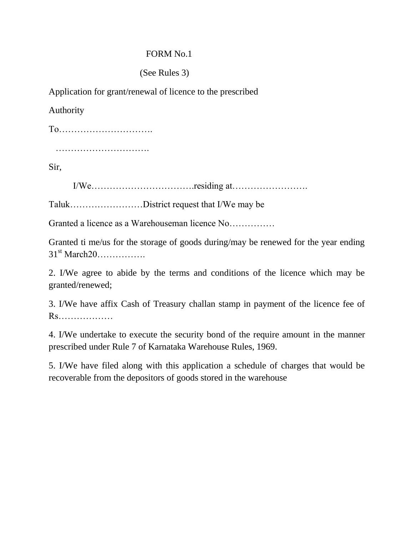## (See Rules 3)

Application for grant/renewal of licence to the prescribed

Authority

To………………………….

………………………….

Sir,

I/We…………………………….residing at…………………….

Taluk……………………District request that I/We may be

Granted a licence as a Warehouseman licence No……………

Granted ti me/us for the storage of goods during/may be renewed for the year ending 31st March20…………….

2. I/We agree to abide by the terms and conditions of the licence which may be granted/renewed;

3. I/We have affix Cash of Treasury challan stamp in payment of the licence fee of Rs………………

4. I/We undertake to execute the security bond of the require amount in the manner prescribed under Rule 7 of Karnataka Warehouse Rules, 1969.

5. I/We have filed along with this application a schedule of charges that would be recoverable from the depositors of goods stored in the warehouse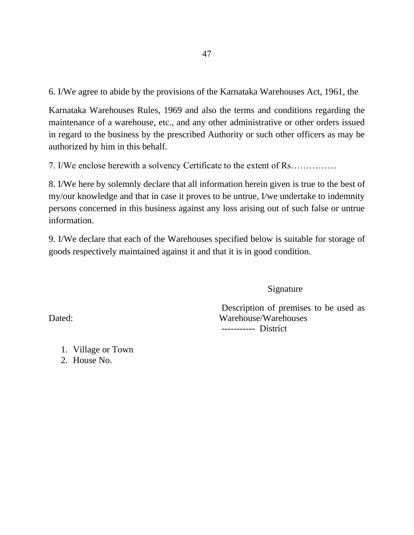6. I/We agree to abide by the provisions of the Karnataka Warehouses Act, 1961, the

Karnataka Warehouses Rules, 1969 and also the terms and conditions regarding the maintenance of a warehouse, etc., and any other administrative or other orders issued in regard to the business by the prescribed Authority or such other officers as may be authorized by him in this behalf.

7. I/We enclose herewith a solvency Certificate to the extent of Rs……………

8. I/We here by solemnly declare that all information herein given is true to the best of my/our knowledge and that in case it proves to be untrue, I/we undertake to indemnity persons concerned in this business against any loss arising out of such false or untrue information.

9. I/We declare that each of the Warehouses specified below is suitable for storage of goods respectively maintained against it and that it is in good condition.

Signature

Description of premises to be used as Dated: Warehouse/Warehouses ----------- District

1. Village or Town

2. House No.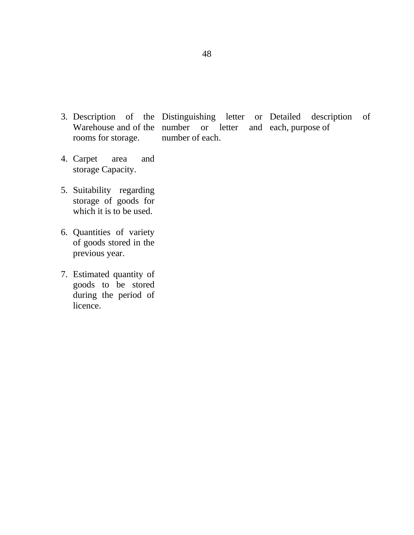- 3. Description of Warehouse and of the number or letter and each, purpose of rooms for storage. the Distinguishing letter or Detailed number of each. description of
- 4. Carpet area and storage Capacity.
- 5. Suitability regarding storage of goods for which it is to be used.
- 6. Quantities of variety of goods stored in the previous year.
- 7. Estimated quantity of goods to be stored during the period of licence.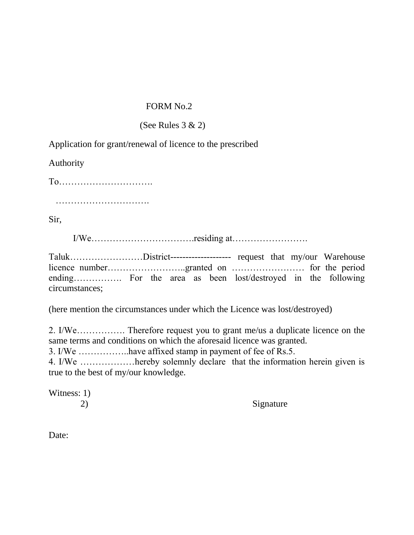## (See Rules  $3 \& 2$ )

Application for grant/renewal of licence to the prescribed

Authority

| $To$ |  |  |  |  |  |  |  |  |  |  |  |  |  |  |
|------|--|--|--|--|--|--|--|--|--|--|--|--|--|--|
|      |  |  |  |  |  |  |  |  |  |  |  |  |  |  |

Sir,

I/We…………………………….residing at…………………….

Taluk……………………District-------------------- request that my/our Warehouse licence number……………………..granted on …………………… for the period ending……………. For the area as been lost/destroyed in the following circumstances;

(here mention the circumstances under which the Licence was lost/destroyed)

2. I/We……………. Therefore request you to grant me/us a duplicate licence on the same terms and conditions on which the aforesaid licence was granted. 3. I/We ……………..have affixed stamp in payment of fee of Rs.5.

4. I/We ………………hereby solemnly declare that the information herein given is true to the best of my/our knowledge.

Witness: 1)

2) Signature

Date: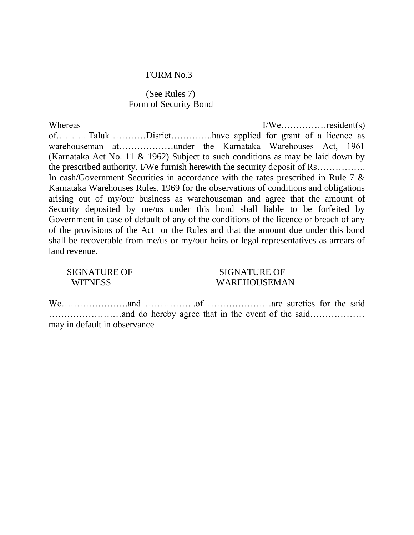#### (See Rules 7) Form of Security Bond

Whereas I/We…………resident(s) of………..Taluk…………Disrict…………..have applied for grant of a licence as warehouseman at………………under the Karnataka Warehouses Act, 1961 (Karnataka Act No. 11 & 1962) Subject to such conditions as may be laid down by the prescribed authority. I/We furnish herewith the security deposit of Rs……………. In cash/Government Securities in accordance with the rates prescribed in Rule 7 & Karnataka Warehouses Rules, 1969 for the observations of conditions and obligations arising out of my/our business as warehouseman and agree that the amount of Security deposited by me/us under this bond shall liable to be forfeited by Government in case of default of any of the conditions of the licence or breach of any of the provisions of the Act or the Rules and that the amount due under this bond shall be recoverable from me/us or my/our heirs or legal representatives as arrears of land revenue.

| <b>SIGNATURE OF</b> |
|---------------------|
| WITNESS             |

#### SIGNATURE OF WAREHOUSEMAN

We………………….and ……………..of …………………are sureties for the said ……………………and do hereby agree that in the event of the said……………… may in default in observance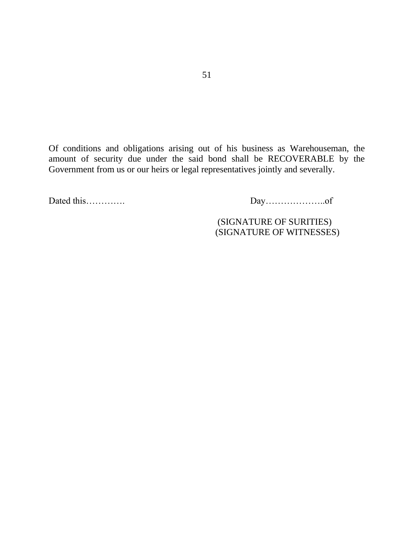Of conditions and obligations arising out of his business as Warehouseman, the amount of security due under the said bond shall be RECOVERABLE by the Government from us or our heirs or legal representatives jointly and severally.

Dated this…………. Day………………..of

 (SIGNATURE OF SURITIES) (SIGNATURE OF WITNESSES)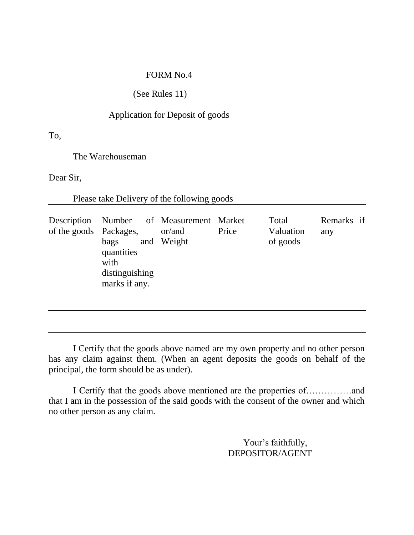## (See Rules 11)

#### Application for Deposit of goods

To,

The Warehouseman

Dear Sir,

Please take Delivery of the following goods

|  | Description<br>of the goods Packages, | Number of Measurement Market<br>bags<br>quantities<br>with<br>distinguishing<br>marks if any. | or/and<br>and Weight | Price | Total<br>Valuation<br>of goods | Remarks if<br>any |
|--|---------------------------------------|-----------------------------------------------------------------------------------------------|----------------------|-------|--------------------------------|-------------------|
|--|---------------------------------------|-----------------------------------------------------------------------------------------------|----------------------|-------|--------------------------------|-------------------|

I Certify that the goods above named are my own property and no other person has any claim against them. (When an agent deposits the goods on behalf of the principal, the form should be as under).

I Certify that the goods above mentioned are the properties of……………and that I am in the possession of the said goods with the consent of the owner and which no other person as any claim.

> Your's faithfully, DEPOSITOR/AGENT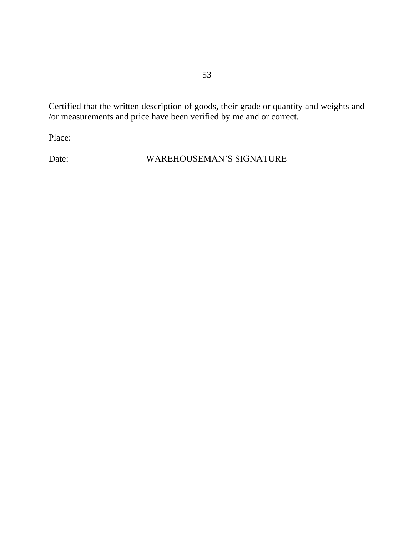Certified that the written description of goods, their grade or quantity and weights and /or measurements and price have been verified by me and or correct.

Place:

Date: WAREHOUSEMAN'S SIGNATURE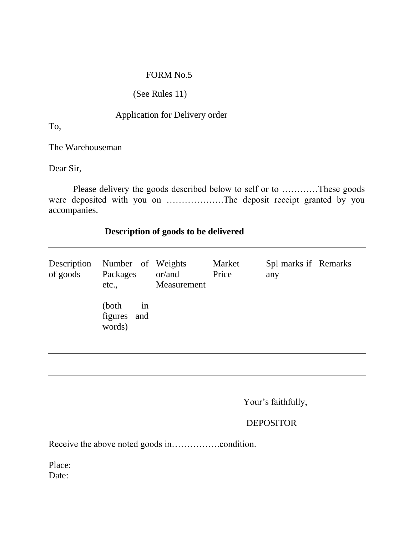## (See Rules 11)

### Application for Delivery order

To,

The Warehouseman

Dear Sir,

Please delivery the goods described below to self or to …………These goods were deposited with you on ……………….The deposit receipt granted by you accompanies.

## **Description of goods to be delivered**

| Description<br>of goods | Number of Weights<br>Packages<br>etc., | or/and<br>Measurement | Market<br>Price | Spl marks if Remarks<br>any |  |
|-------------------------|----------------------------------------|-----------------------|-----------------|-----------------------------|--|
|                         | (both)<br>1n<br>figures and<br>words)  |                       |                 |                             |  |

Your's faithfully,

## DEPOSITOR

Receive the above noted goods in…………….condition.

Place: Date: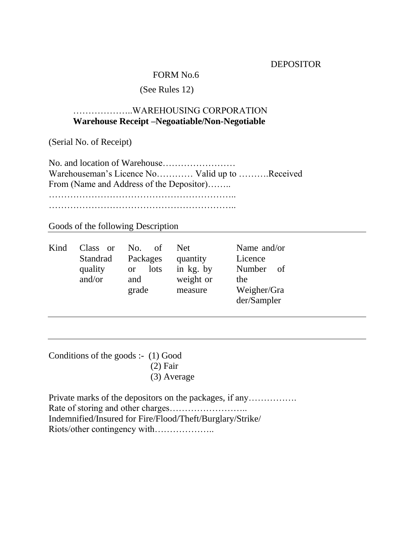#### **DEPOSITOR**

#### FORM No.6

## (See Rules 12)

### ………………..WAREHOUSING CORPORATION **Warehouse Receipt –Negoatiable/Non-Negotiable**

(Serial No. of Receipt)

No. and location of Warehouse…………………… Warehouseman"s Licence No………… Valid up to ……….Received From (Name and Address of the Depositor)…….. ……………………………………………………..

……………………………………………………..

Goods of the following Description

| Kind | Class or | Ω£<br>No.         | Net.      | Name and/or  |
|------|----------|-------------------|-----------|--------------|
|      | Standrad | Packages          | quantity  | Licence      |
|      | quality  | lots<br><b>or</b> | in kg. by | Number<br>of |
|      | and/or   | and               | weight or | the          |
|      |          | grade             | measure   | Weigher/Gra  |
|      |          |                   |           | der/Sampler  |

Conditions of the goods :- (1) Good (2) Fair (3) Average

Private marks of the depositors on the packages, if any……………. Rate of storing and other charges…………………….. Indemnified/Insured for Fire/Flood/Theft/Burglary/Strike/ Riots/other contingency with………………..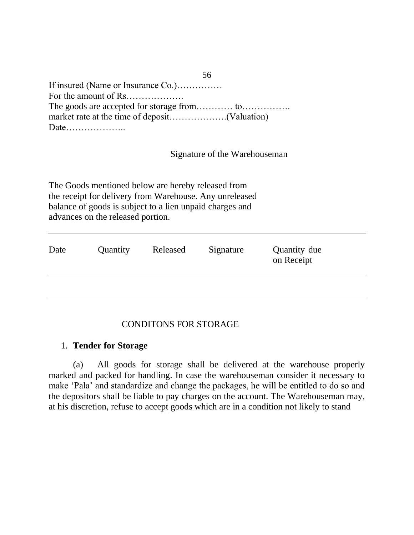| If insured (Name or Insurance Co.) |
|------------------------------------|
|                                    |
|                                    |
|                                    |
|                                    |

Signature of the Warehouseman

56

The Goods mentioned below are hereby released from the receipt for delivery from Warehouse. Any unreleased balance of goods is subject to a lien unpaid charges and advances on the released portion.

| Date | Quantity | Released | Signature | Quantity due<br>on Receipt |
|------|----------|----------|-----------|----------------------------|
|      |          |          |           |                            |

### CONDITONS FOR STORAGE

### 1. **Tender for Storage**

(a) All goods for storage shall be delivered at the warehouse properly marked and packed for handling. In case the warehouseman consider it necessary to make "Pala" and standardize and change the packages, he will be entitled to do so and the depositors shall be liable to pay charges on the account. The Warehouseman may, at his discretion, refuse to accept goods which are in a condition not likely to stand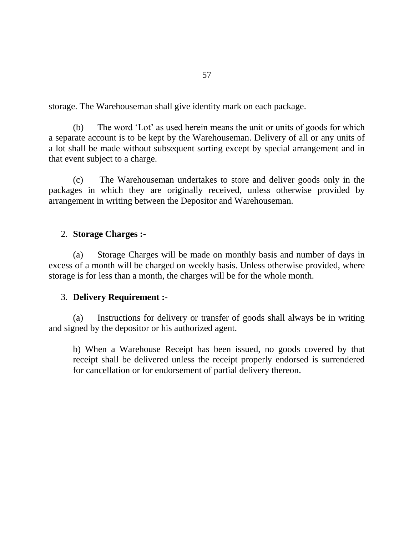storage. The Warehouseman shall give identity mark on each package.

(b) The word "Lot" as used herein means the unit or units of goods for which a separate account is to be kept by the Warehouseman. Delivery of all or any units of a lot shall be made without subsequent sorting except by special arrangement and in that event subject to a charge.

(c) The Warehouseman undertakes to store and deliver goods only in the packages in which they are originally received, unless otherwise provided by arrangement in writing between the Depositor and Warehouseman.

#### 2. **Storage Charges :-**

(a) Storage Charges will be made on monthly basis and number of days in excess of a month will be charged on weekly basis. Unless otherwise provided, where storage is for less than a month, the charges will be for the whole month.

#### 3. **Delivery Requirement :-**

(a) Instructions for delivery or transfer of goods shall always be in writing and signed by the depositor or his authorized agent.

b) When a Warehouse Receipt has been issued, no goods covered by that receipt shall be delivered unless the receipt properly endorsed is surrendered for cancellation or for endorsement of partial delivery thereon.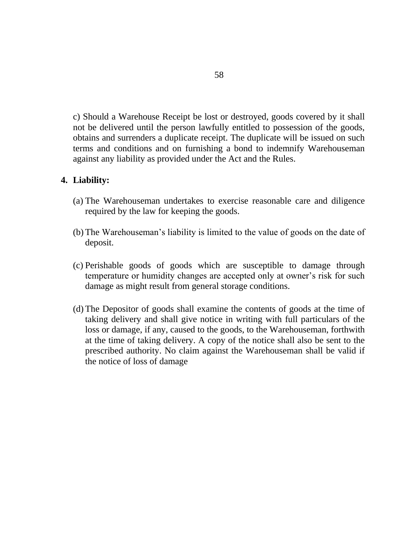c) Should a Warehouse Receipt be lost or destroyed, goods covered by it shall not be delivered until the person lawfully entitled to possession of the goods, obtains and surrenders a duplicate receipt. The duplicate will be issued on such terms and conditions and on furnishing a bond to indemnify Warehouseman against any liability as provided under the Act and the Rules.

#### **4. Liability:**

- (a) The Warehouseman undertakes to exercise reasonable care and diligence required by the law for keeping the goods.
- (b) The Warehouseman"s liability is limited to the value of goods on the date of deposit.
- (c) Perishable goods of goods which are susceptible to damage through temperature or humidity changes are accepted only at owner"s risk for such damage as might result from general storage conditions.
- (d) The Depositor of goods shall examine the contents of goods at the time of taking delivery and shall give notice in writing with full particulars of the loss or damage, if any, caused to the goods, to the Warehouseman, forthwith at the time of taking delivery. A copy of the notice shall also be sent to the prescribed authority. No claim against the Warehouseman shall be valid if the notice of loss of damage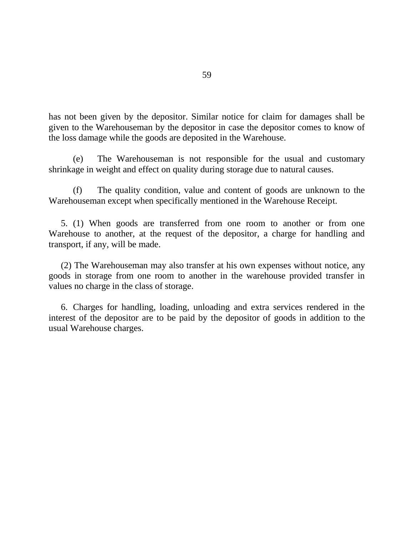has not been given by the depositor. Similar notice for claim for damages shall be given to the Warehouseman by the depositor in case the depositor comes to know of the loss damage while the goods are deposited in the Warehouse.

(e) The Warehouseman is not responsible for the usual and customary shrinkage in weight and effect on quality during storage due to natural causes.

(f) The quality condition, value and content of goods are unknown to the Warehouseman except when specifically mentioned in the Warehouse Receipt.

5. (1) When goods are transferred from one room to another or from one Warehouse to another, at the request of the depositor, a charge for handling and transport, if any, will be made.

(2) The Warehouseman may also transfer at his own expenses without notice, any goods in storage from one room to another in the warehouse provided transfer in values no charge in the class of storage.

6. Charges for handling, loading, unloading and extra services rendered in the interest of the depositor are to be paid by the depositor of goods in addition to the usual Warehouse charges.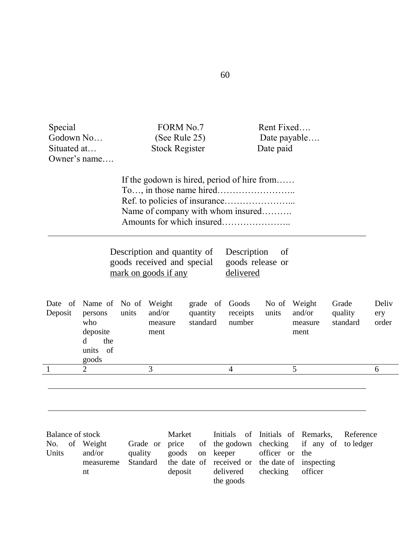| Special<br>Godown No<br>Situated at     | Owner's name                                                                                         |                                              | <b>FORM No.7</b><br>(See Rule 25)<br><b>Stock Register</b> |                                                                                       | Rent Fixed<br>Date payable<br>Date paid           |                           |                                  |                       |
|-----------------------------------------|------------------------------------------------------------------------------------------------------|----------------------------------------------|------------------------------------------------------------|---------------------------------------------------------------------------------------|---------------------------------------------------|---------------------------|----------------------------------|-----------------------|
|                                         |                                                                                                      |                                              |                                                            | If the godown is hired, period of hire from<br>Name of company with whom insured      |                                                   |                           |                                  |                       |
|                                         |                                                                                                      | mark on goods if any                         | Description and quantity of<br>goods received and special  | Description<br>delivered                                                              | of<br>goods release or                            |                           |                                  |                       |
| Deposit                                 | Date of Name of No of<br>persons<br>who<br>deposite<br>the<br><sub>d</sub><br>units<br>- of<br>goods | Weight<br>and/or<br>units<br>measure<br>ment | grade of<br>quantity<br>standard                           | Goods<br>receipts<br>number                                                           | No of Weight<br>units                             | and/or<br>measure<br>ment | Grade<br>quality<br>standard     | Deliv<br>ery<br>order |
| $\mathbf{1}$                            | $\overline{2}$                                                                                       | 3                                            |                                                            | 4                                                                                     |                                                   | 5                         |                                  | 6                     |
| <b>Balance of stock</b><br>No.<br>Units | of Weight<br>and/or<br>measureme                                                                     | Grade or<br>quality<br>Standard              | Market<br>price<br>goods<br>on                             | Initials<br>of the godown<br>keeper<br>the date of received or the date of inspecting | of Initials of Remarks,<br>checking<br>officer or | the                       | Reference<br>if any of to ledger |                       |

delivered the goods

checking

officer

deposit

nt

60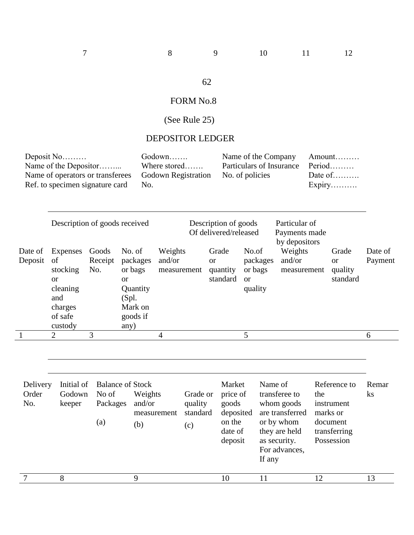## 62

# FORM No.8

# (See Rule 25)

## DEPOSITOR LEDGER

|                          | Deposit No<br>Name of the Depositor<br>Name of operators or transferees<br>Ref. to specimen signature card |                          | No.                                                                                            | Godown<br>Where stored | <b>Godown Registration</b>             |                                                                          | Name of the Company<br>Particulars of Insurance<br>No. of policies |                                                                                                                           |     | Amount<br>Period<br>Date of<br>$Expiry$                                          |                    |
|--------------------------|------------------------------------------------------------------------------------------------------------|--------------------------|------------------------------------------------------------------------------------------------|------------------------|----------------------------------------|--------------------------------------------------------------------------|--------------------------------------------------------------------|---------------------------------------------------------------------------------------------------------------------------|-----|----------------------------------------------------------------------------------|--------------------|
|                          | Description of goods received                                                                              |                          |                                                                                                |                        |                                        | Description of goods<br>Of delivered/released                            |                                                                    | Particular of<br>Payments made<br>by depositors                                                                           |     |                                                                                  |                    |
| Date of<br>Deposit       | Expenses<br>of<br>stocking<br>or<br>cleaning<br>and<br>charges<br>of safe<br>custody                       | Goods<br>Receipt<br>No.  | No. of<br>packages<br>or bags<br><b>or</b><br>Quantity<br>(Spl.<br>Mark on<br>goods if<br>any) | Weights<br>and/or      | measurement                            | Grade<br><b>or</b><br>quantity<br>standard                               | No.of<br>packages<br>or bags<br><b>or</b><br>quality               | Weights<br>and/or<br>measurement                                                                                          |     | Grade<br><b>or</b><br>quality<br>standard                                        | Date of<br>Payment |
|                          | $\overline{2}$                                                                                             | 3                        |                                                                                                | 4                      |                                        |                                                                          | 5                                                                  |                                                                                                                           |     |                                                                                  | 6                  |
| Delivery<br>Order<br>No. | Initial of<br>Godown<br>keeper                                                                             | No of<br>Packages<br>(a) | <b>Balance of Stock</b><br>Weights<br>and/or<br>(b)                                            | measurement            | Grade or<br>quality<br>standard<br>(c) | Market<br>price of<br>goods<br>deposited<br>on the<br>date of<br>deposit | If any                                                             | Name of<br>transferee to<br>whom goods<br>are transferred<br>or by whom<br>they are held<br>as security.<br>For advances, | the | Reference to<br>instrument<br>marks or<br>document<br>transferring<br>Possession | Remar<br>ks        |
| 7                        | 8                                                                                                          |                          | 9                                                                                              |                        |                                        | 10                                                                       | 11                                                                 |                                                                                                                           | 12  |                                                                                  | 13                 |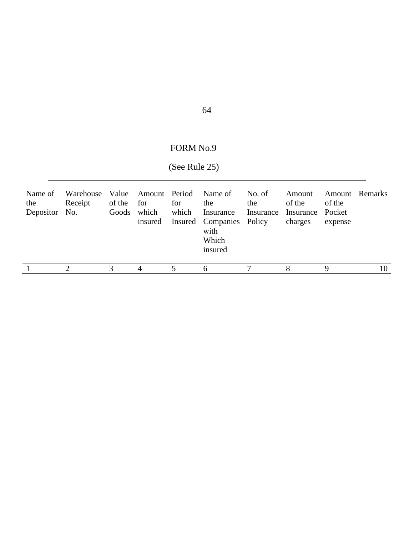## 64

## FORM No.9

# (See Rule 25)

| Name of<br>the<br>Depositor No. | Receipt | of the        | for<br>Goods which<br>insured | for<br>which | Warehouse Value Amount Period Name of No. of<br>the<br>Insurance<br>Insured Companies Policy<br>with<br>Which<br>insured | the | Amount<br>of the<br>Insurance Insurance Pocket<br>charges | of the<br>expense | <b>Amount</b> Remarks |
|---------------------------------|---------|---------------|-------------------------------|--------------|--------------------------------------------------------------------------------------------------------------------------|-----|-----------------------------------------------------------|-------------------|-----------------------|
|                                 |         | $\mathcal{F}$ | 4                             |              | <sub>0</sub>                                                                                                             |     |                                                           | Q                 | 10                    |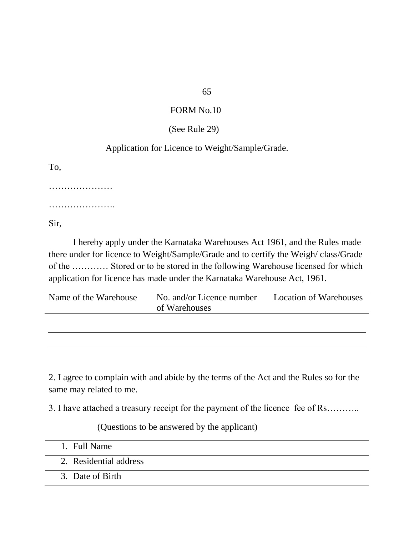### (See Rule 29)

## Application for Licence to Weight/Sample/Grade.

To,

…………………

………………….

Sir,

I hereby apply under the Karnataka Warehouses Act 1961, and the Rules made there under for licence to Weight/Sample/Grade and to certify the Weigh/ class/Grade of the ………… Stored or to be stored in the following Warehouse licensed for which application for licence has made under the Karnataka Warehouse Act, 1961.

| Name of the Warehouse | No. and/or Licence number | <b>Location of Warehouses</b> |
|-----------------------|---------------------------|-------------------------------|
|                       | of Warehouses             |                               |

2. I agree to complain with and abide by the terms of the Act and the Rules so for the same may related to me.

3. I have attached a treasury receipt for the payment of the licence fee of Rs………..

(Questions to be answered by the applicant)

- 1. Full Name
- 2. Residential address
- 3. Date of Birth

### 65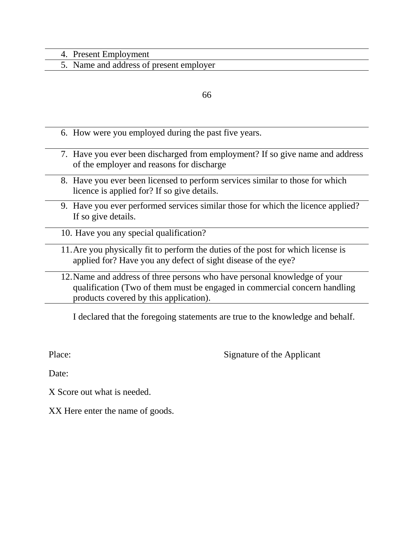#### 4. Present Employment

5. Name and address of present employer

#### 66

- 6. How were you employed during the past five years.
- 7. Have you ever been discharged from employment? If so give name and address of the employer and reasons for discharge
- 8. Have you ever been licensed to perform services similar to those for which licence is applied for? If so give details.
- 9. Have you ever performed services similar those for which the licence applied? If so give details.
- 10. Have you any special qualification?
- 11.Are you physically fit to perform the duties of the post for which license is applied for? Have you any defect of sight disease of the eye?
- 12.Name and address of three persons who have personal knowledge of your qualification (Two of them must be engaged in commercial concern handling products covered by this application).

I declared that the foregoing statements are true to the knowledge and behalf.

Place: Signature of the Applicant

Date:

- X Score out what is needed.
- XX Here enter the name of goods.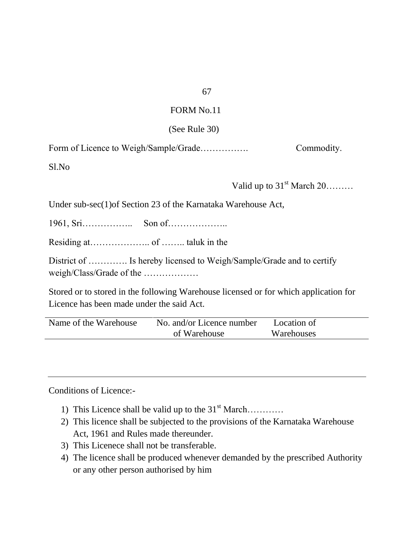### (See Rule 30)

Form of Licence to Weigh/Sample/Grade……………. Commodity.

Sl.No

Valid up to  $31<sup>st</sup>$  March  $20$ .......

Under sub-sec(1)of Section 23 of the Karnataka Warehouse Act,

1961, Sri…………….. Son of………………..

Residing at……………….. of …….. taluk in the

District of .............. Is hereby licensed to Weigh/Sample/Grade and to certify weigh/Class/Grade of the ………………

Stored or to stored in the following Warehouse licensed or for which application for Licence has been made under the said Act.

| Name of the Warehouse | No. and/or Licence number | Location of |  |
|-----------------------|---------------------------|-------------|--|
|                       | of Warehouse              | Warehouses  |  |

Conditions of Licence:-

- 1) This Licence shall be valid up to the  $31<sup>st</sup> March$ …………
- 2) This licence shall be subjected to the provisions of the Karnataka Warehouse Act, 1961 and Rules made thereunder.
- 3) This Licenece shall not be transferable.
- 4) The licence shall be produced whenever demanded by the prescribed Authority or any other person authorised by him

67